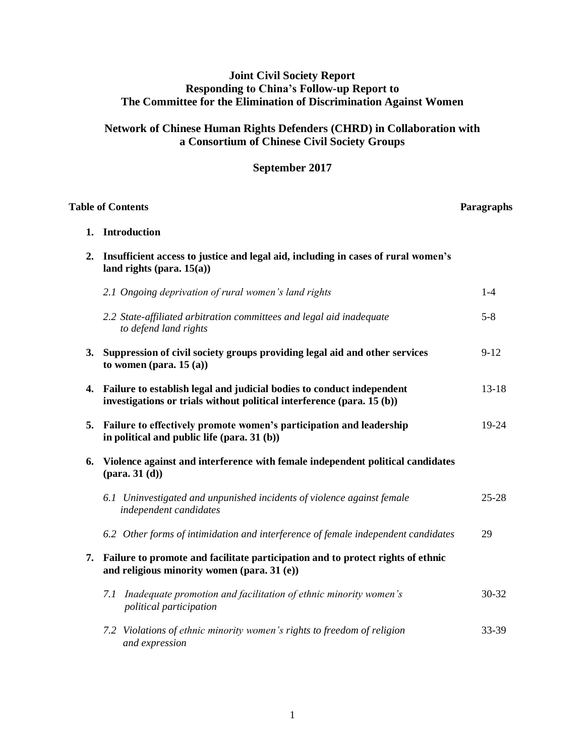# **Joint Civil Society Report Responding to China's Follow-up Report to The Committee for the Elimination of Discrimination Against Women**

# **Network of Chinese Human Rights Defenders (CHRD) in Collaboration with a Consortium of Chinese Civil Society Groups**

# **September 2017**

| <b>Table of Contents</b> |                                                                                                                                                 | Paragraphs |
|--------------------------|-------------------------------------------------------------------------------------------------------------------------------------------------|------------|
|                          | 1. Introduction                                                                                                                                 |            |
| 2.                       | Insufficient access to justice and legal aid, including in cases of rural women's<br>land rights (para. $15(a)$ )                               |            |
|                          | 2.1 Ongoing deprivation of rural women's land rights                                                                                            | $1 - 4$    |
|                          | 2.2 State-affiliated arbitration committees and legal aid inadequate<br>to defend land rights                                                   | $5 - 8$    |
|                          | 3. Suppression of civil society groups providing legal aid and other services<br>to women (para. $15(a)$ )                                      | $9 - 12$   |
| 4.                       | Failure to establish legal and judicial bodies to conduct independent<br>investigations or trials without political interference (para. 15 (b)) | $13 - 18$  |
| 5.                       | Failure to effectively promote women's participation and leadership<br>in political and public life (para. 31 (b))                              | 19-24      |
| 6.                       | Violence against and interference with female independent political candidates<br>$(\text{para. } 31 \text{ (d)})$                              |            |
|                          | 6.1 Uninvestigated and unpunished incidents of violence against female<br>independent candidates                                                | $25 - 28$  |
|                          | 6.2 Other forms of intimidation and interference of female independent candidates                                                               | 29         |
|                          | 7. Failure to promote and facilitate participation and to protect rights of ethnic<br>and religious minority women (para. 31 (e))               |            |
|                          | 7.1 Inadequate promotion and facilitation of ethnic minority women's<br>political participation                                                 | 30-32      |
|                          | 7.2 Violations of ethnic minority women's rights to freedom of religion<br>and expression                                                       | 33-39      |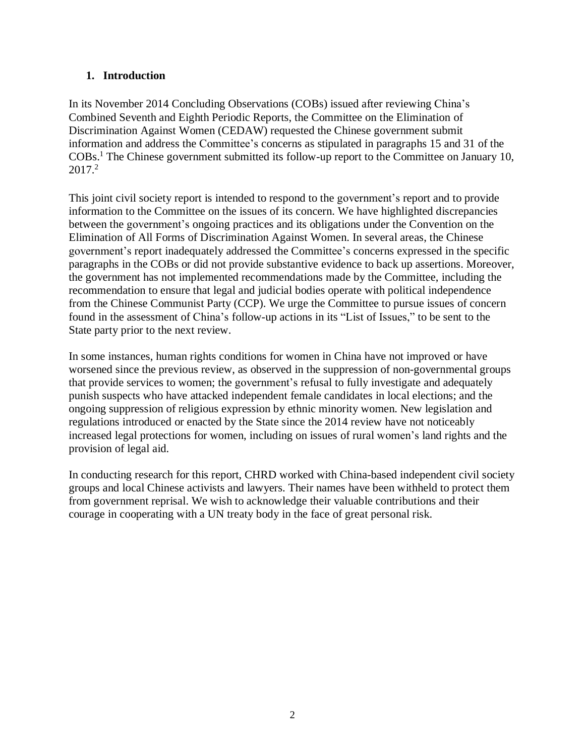# **1. Introduction**

In its November 2014 Concluding Observations (COBs) issued after reviewing China's Combined Seventh and Eighth Periodic Reports, the Committee on the Elimination of Discrimination Against Women (CEDAW) requested the Chinese government submit information and address the Committee's concerns as stipulated in paragraphs 15 and 31 of the COBs. <sup>1</sup> The Chinese government submitted its follow-up report to the Committee on January 10, 2017.<sup>2</sup>

This joint civil society report is intended to respond to the government's report and to provide information to the Committee on the issues of its concern. We have highlighted discrepancies between the government's ongoing practices and its obligations under the Convention on the Elimination of All Forms of Discrimination Against Women. In several areas, the Chinese government's report inadequately addressed the Committee's concerns expressed in the specific paragraphs in the COBs or did not provide substantive evidence to back up assertions. Moreover, the government has not implemented recommendations made by the Committee, including the recommendation to ensure that legal and judicial bodies operate with political independence from the Chinese Communist Party (CCP). We urge the Committee to pursue issues of concern found in the assessment of China's follow-up actions in its "List of Issues," to be sent to the State party prior to the next review.

In some instances, human rights conditions for women in China have not improved or have worsened since the previous review, as observed in the suppression of non-governmental groups that provide services to women; the government's refusal to fully investigate and adequately punish suspects who have attacked independent female candidates in local elections; and the ongoing suppression of religious expression by ethnic minority women. New legislation and regulations introduced or enacted by the State since the 2014 review have not noticeably increased legal protections for women, including on issues of rural women's land rights and the provision of legal aid.

In conducting research for this report, CHRD worked with China-based independent civil society groups and local Chinese activists and lawyers. Their names have been withheld to protect them from government reprisal. We wish to acknowledge their valuable contributions and their courage in cooperating with a UN treaty body in the face of great personal risk.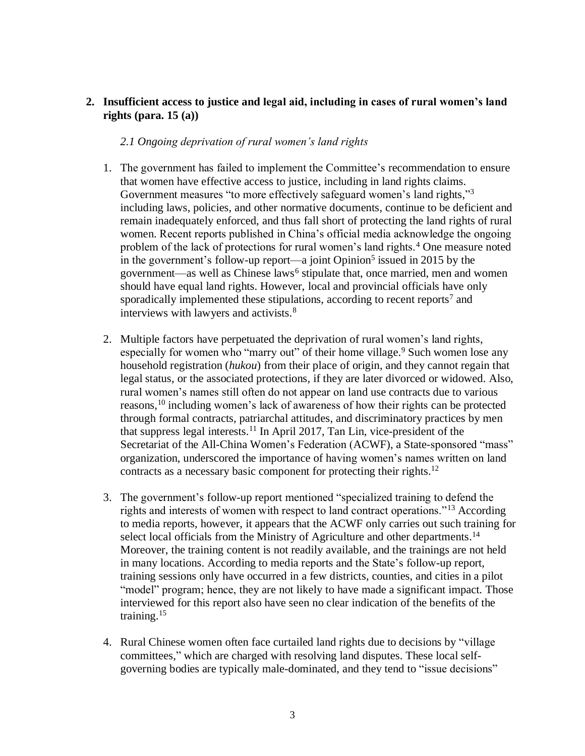# **2. Insufficient access to justice and legal aid, including in cases of rural women's land rights (para. 15 (a))**

### *2.1 Ongoing deprivation of rural women's land rights*

- 1. The government has failed to implement the Committee's recommendation to ensure that women have effective access to justice, including in land rights claims. Government measures "to more effectively safeguard women's land rights,"<sup>3</sup> including laws, policies, and other normative documents, continue to be deficient and remain inadequately enforced, and thus fall short of protecting the land rights of rural women. Recent reports published in China's official media acknowledge the ongoing problem of the lack of protections for rural women's land rights.<sup>4</sup> One measure noted in the government's follow-up report—a joint Opinion<sup>5</sup> issued in 2015 by the government—as well as Chinese laws<sup>6</sup> stipulate that, once married, men and women should have equal land rights. However, local and provincial officials have only sporadically implemented these stipulations, according to recent reports<sup>7</sup> and interviews with lawyers and activists.<sup>8</sup>
- 2. Multiple factors have perpetuated the deprivation of rural women's land rights, especially for women who "marry out" of their home village.<sup>9</sup> Such women lose any household registration (*hukou*) from their place of origin, and they cannot regain that legal status, or the associated protections, if they are later divorced or widowed. Also, rural women's names still often do not appear on land use contracts due to various reasons, <sup>10</sup> including women's lack of awareness of how their rights can be protected through formal contracts, patriarchal attitudes, and discriminatory practices by men that suppress legal interests. <sup>11</sup> In April 2017, Tan Lin, vice-president of the Secretariat of the All-China Women's Federation (ACWF), a State-sponsored "mass" organization, underscored the importance of having women's names written on land contracts as a necessary basic component for protecting their rights.<sup>12</sup>
- 3. The government's follow-up report mentioned "specialized training to defend the rights and interests of women with respect to land contract operations."<sup>13</sup> According to media reports, however, it appears that the ACWF only carries out such training for select local officials from the Ministry of Agriculture and other departments.<sup>14</sup> Moreover, the training content is not readily available, and the trainings are not held in many locations. According to media reports and the State's follow-up report, training sessions only have occurred in a few districts, counties, and cities in a pilot "model" program; hence, they are not likely to have made a significant impact. Those interviewed for this report also have seen no clear indication of the benefits of the training.<sup>15</sup>
- 4. Rural Chinese women often face curtailed land rights due to decisions by "village committees," which are charged with resolving land disputes. These local selfgoverning bodies are typically male-dominated, and they tend to "issue decisions"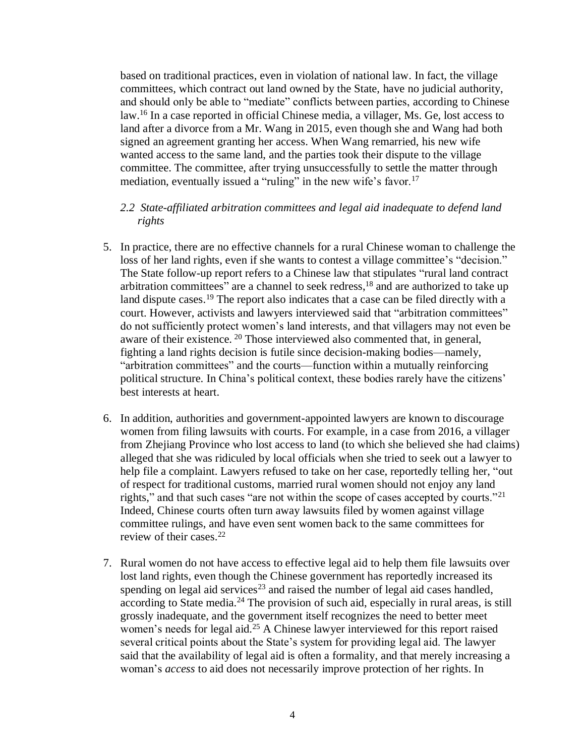based on traditional practices, even in violation of national law. In fact, the village committees, which contract out land owned by the State, have no judicial authority, and should only be able to "mediate" conflicts between parties, according to Chinese law.<sup>16</sup> In a case reported in official Chinese media, a villager, Ms. Ge, lost access to land after a divorce from a Mr. Wang in 2015, even though she and Wang had both signed an agreement granting her access. When Wang remarried, his new wife wanted access to the same land, and the parties took their dispute to the village committee. The committee, after trying unsuccessfully to settle the matter through mediation, eventually issued a "ruling" in the new wife's favor.<sup>17</sup>

### *2.2 State-affiliated arbitration committees and legal aid inadequate to defend land rights*

- 5. In practice, there are no effective channels for a rural Chinese woman to challenge the loss of her land rights, even if she wants to contest a village committee's "decision." The State follow-up report refers to a Chinese law that stipulates "rural land contract arbitration committees" are a channel to seek redress,<sup>18</sup> and are authorized to take up land dispute cases.<sup>19</sup> The report also indicates that a case can be filed directly with a court. However, activists and lawyers interviewed said that "arbitration committees" do not sufficiently protect women's land interests, and that villagers may not even be aware of their existence. <sup>20</sup> Those interviewed also commented that, in general, fighting a land rights decision is futile since decision-making bodies—namely, "arbitration committees" and the courts—function within a mutually reinforcing political structure. In China's political context, these bodies rarely have the citizens' best interests at heart.
- 6. In addition, authorities and government-appointed lawyers are known to discourage women from filing lawsuits with courts. For example, in a case from 2016, a villager from Zhejiang Province who lost access to land (to which she believed she had claims) alleged that she was ridiculed by local officials when she tried to seek out a lawyer to help file a complaint. Lawyers refused to take on her case, reportedly telling her, "out of respect for traditional customs, married rural women should not enjoy any land rights," and that such cases "are not within the scope of cases accepted by courts."<sup>21</sup> Indeed, Chinese courts often turn away lawsuits filed by women against village committee rulings, and have even sent women back to the same committees for review of their cases. 22
- 7. Rural women do not have access to effective legal aid to help them file lawsuits over lost land rights, even though the Chinese government has reportedly increased its spending on legal aid services<sup>23</sup> and raised the number of legal aid cases handled, according to State media.<sup>24</sup> The provision of such aid, especially in rural areas, is still grossly inadequate, and the government itself recognizes the need to better meet women's needs for legal aid.<sup>25</sup> A Chinese lawyer interviewed for this report raised several critical points about the State's system for providing legal aid. The lawyer said that the availability of legal aid is often a formality, and that merely increasing a woman's *access* to aid does not necessarily improve protection of her rights. In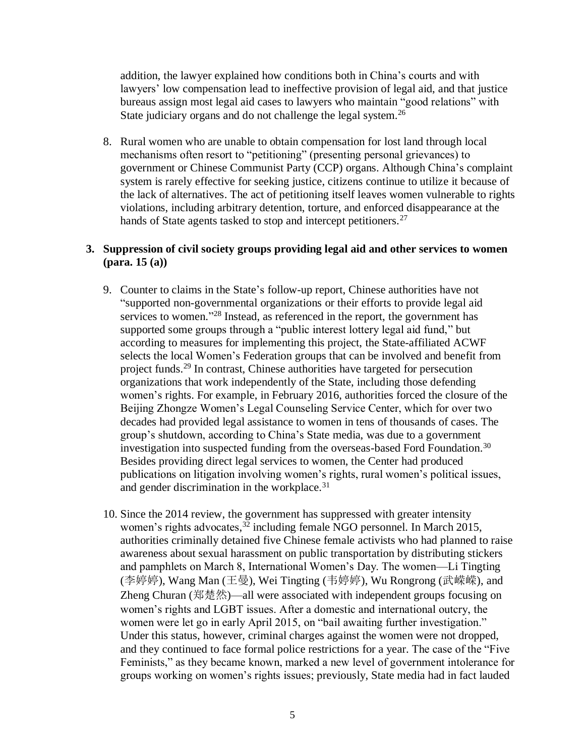addition, the lawyer explained how conditions both in China's courts and with lawyers' low compensation lead to ineffective provision of legal aid, and that justice bureaus assign most legal aid cases to lawyers who maintain "good relations" with State judiciary organs and do not challenge the legal system.<sup>26</sup>

8. Rural women who are unable to obtain compensation for lost land through local mechanisms often resort to "petitioning" (presenting personal grievances) to government or Chinese Communist Party (CCP) organs. Although China's complaint system is rarely effective for seeking justice, citizens continue to utilize it because of the lack of alternatives. The act of petitioning itself leaves women vulnerable to rights violations, including arbitrary detention, torture, and enforced disappearance at the hands of State agents tasked to stop and intercept petitioners.<sup>27</sup>

## **3. Suppression of civil society groups providing legal aid and other services to women (para. 15 (a))**

- 9. Counter to claims in the State's follow-up report, Chinese authorities have not "supported non-governmental organizations or their efforts to provide legal aid services to women."<sup>28</sup> Instead, as referenced in the report, the government has supported some groups through a "public interest lottery legal aid fund," but according to measures for implementing this project, the State-affiliated ACWF selects the local Women's Federation groups that can be involved and benefit from project funds.<sup>29</sup> In contrast, Chinese authorities have targeted for persecution organizations that work independently of the State, including those defending women's rights. For example, in February 2016, authorities forced the closure of the Beijing Zhongze Women's Legal Counseling Service Center, which for over two decades had provided legal assistance to women in tens of thousands of cases. The group's shutdown, according to China's State media, was due to a government investigation into suspected funding from the overseas-based Ford Foundation.<sup>30</sup> Besides providing direct legal services to women, the Center had produced publications on litigation involving women's rights, rural women's political issues, and gender discrimination in the workplace.<sup>31</sup>
- 10. Since the 2014 review, the government has suppressed with greater intensity women's rights advocates,<sup>32</sup> including female NGO personnel. In March 2015, authorities criminally detained five Chinese female activists who had planned to raise awareness about sexual harassment on public transportation by distributing stickers and pamphlets on March 8, International Women's Day. The women—Li Tingting (李婷婷), Wang Man (王曼), Wei Tingting (韦婷婷), Wu Rongrong (武嵘嵘), and Zheng Churan (郑楚然)—all were associated with independent groups focusing on women's rights and LGBT issues. After a domestic and international outcry, the women were let go in early April 2015, on "bail awaiting further investigation." Under this status, however, criminal charges against the women were not dropped, and they continued to face formal police restrictions for a year. The case of the "Five Feminists," as they became known, marked a new level of government intolerance for groups working on women's rights issues; previously, State media had in fact lauded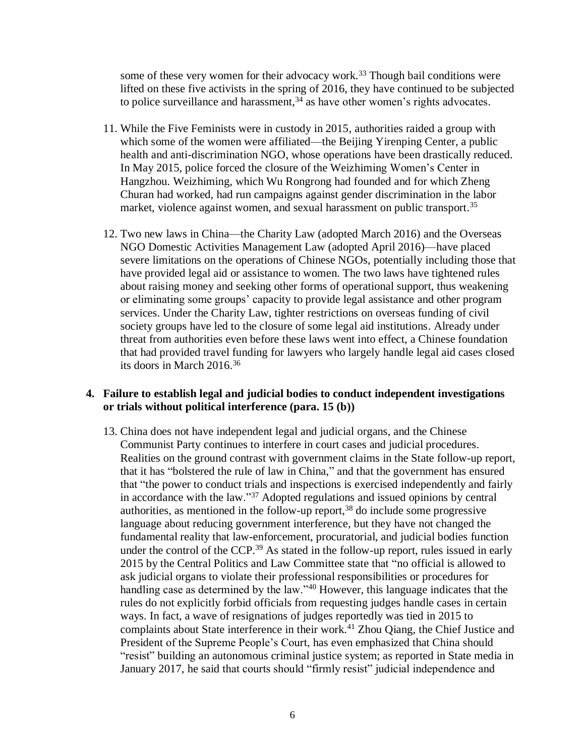some of these very women for their advocacy work.<sup>33</sup> Though bail conditions were lifted on these five activists in the spring of 2016, they have continued to be subjected to police surveillance and harassment, <sup>34</sup> as have other women's rights advocates.

- 11. While the Five Feminists were in custody in 2015, authorities raided a group with which some of the women were affiliated—the Beijing Yirenping Center, a public health and anti-discrimination NGO, whose operations have been drastically reduced. In May 2015, police forced the closure of the Weizhiming Women's Center in Hangzhou. Weizhiming, which Wu Rongrong had founded and for which Zheng Churan had worked, had run campaigns against gender discrimination in the labor market, violence against women, and sexual harassment on public transport.<sup>35</sup>
- 12. Two new laws in China—the Charity Law (adopted March 2016) and the Overseas NGO Domestic Activities Management Law (adopted April 2016)—have placed severe limitations on the operations of Chinese NGOs, potentially including those that have provided legal aid or assistance to women. The two laws have tightened rules about raising money and seeking other forms of operational support, thus weakening or eliminating some groups' capacity to provide legal assistance and other program services. Under the Charity Law, tighter restrictions on overseas funding of civil society groups have led to the closure of some legal aid institutions. Already under threat from authorities even before these laws went into effect, a Chinese foundation that had provided travel funding for lawyers who largely handle legal aid cases closed its doors in March 2016. 36

#### **4. Failure to establish legal and judicial bodies to conduct independent investigations or trials without political interference (para. 15 (b))**

13. China does not have independent legal and judicial organs, and the Chinese Communist Party continues to interfere in court cases and judicial procedures. Realities on the ground contrast with government claims in the State follow-up report, that it has "bolstered the rule of law in China," and that the government has ensured that "the power to conduct trials and inspections is exercised independently and fairly in accordance with the law."<sup>37</sup> Adopted regulations and issued opinions by central authorities, as mentioned in the follow-up report, <sup>38</sup> do include some progressive language about reducing government interference, but they have not changed the fundamental reality that law-enforcement, procuratorial, and judicial bodies function under the control of the CCP. <sup>39</sup> As stated in the follow-up report, rules issued in early 2015 by the Central Politics and Law Committee state that "no official is allowed to ask judicial organs to violate their professional responsibilities or procedures for handling case as determined by the law."<sup>40</sup> However, this language indicates that the rules do not explicitly forbid officials from requesting judges handle cases in certain ways. In fact, a wave of resignations of judges reportedly was tied in 2015 to complaints about State interference in their work.<sup>41</sup> Zhou Oiang, the Chief Justice and President of the Supreme People's Court, has even emphasized that China should "resist" building an autonomous criminal justice system; as reported in State media in January 2017, he said that courts should "firmly resist" judicial independence and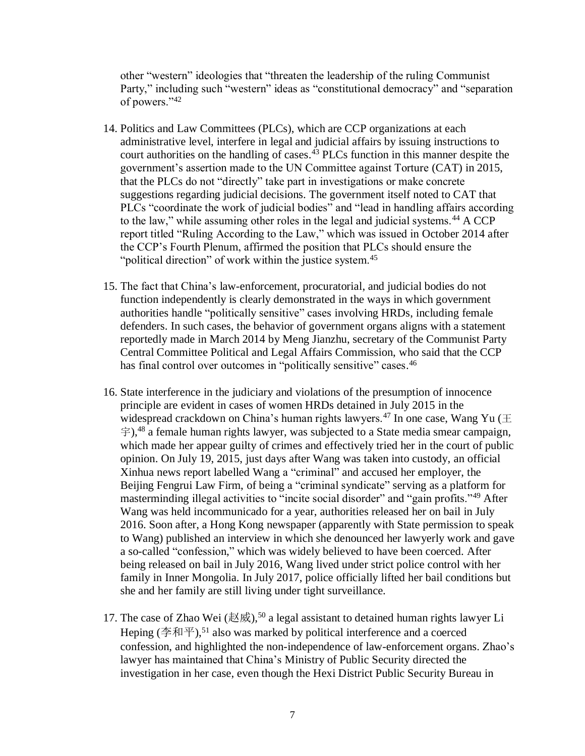other "western" ideologies that "threaten the leadership of the ruling Communist Party," including such "western" ideas as "constitutional democracy" and "separation of powers."<sup>42</sup>

- 14. Politics and Law Committees (PLCs), which are CCP organizations at each administrative level, interfere in legal and judicial affairs by issuing instructions to court authorities on the handling of cases. <sup>43</sup> PLCs function in this manner despite the government's assertion made to the UN Committee against Torture (CAT) in 2015, that the PLCs do not "directly" take part in investigations or make concrete suggestions regarding judicial decisions. The government itself noted to CAT that PLCs "coordinate the work of judicial bodies" and "lead in handling affairs according to the law," while assuming other roles in the legal and judicial systems.<sup>44</sup> A CCP report titled "Ruling According to the Law," which was issued in October 2014 after the CCP's Fourth Plenum, affirmed the position that PLCs should ensure the "political direction" of work within the justice system.<sup>45</sup>
- 15. The fact that China's law-enforcement, procuratorial, and judicial bodies do not function independently is clearly demonstrated in the ways in which government authorities handle "politically sensitive" cases involving HRDs, including female defenders. In such cases, the behavior of government organs aligns with a statement reportedly made in March 2014 by Meng Jianzhu, secretary of the Communist Party Central Committee Political and Legal Affairs Commission, who said that the CCP has final control over outcomes in "politically sensitive" cases.<sup>46</sup>
- 16. State interference in the judiciary and violations of the presumption of innocence principle are evident in cases of women HRDs detained in July 2015 in the widespread crackdown on China's human rights lawyers.<sup>47</sup> In one case, Wang Yu ( $\pm$  $\hat{F}$ ),<sup>48</sup> a female human rights lawyer, was subjected to a State media smear campaign, which made her appear guilty of crimes and effectively tried her in the court of public opinion. On July 19, 2015, just days after Wang was taken into custody, an official Xinhua news report labelled Wang a "criminal" and accused her employer, the Beijing Fengrui Law Firm, of being a "criminal syndicate" serving as a platform for masterminding illegal activities to "incite social disorder" and "gain profits."<sup>49</sup> After Wang was held incommunicado for a year, authorities released her on bail in July 2016. Soon after, a Hong Kong newspaper (apparently with State permission to speak to Wang) published an interview in which she denounced her lawyerly work and gave a so-called "confession," which was widely believed to have been coerced. After being released on bail in July 2016, Wang lived under strict police control with her family in Inner Mongolia. In July 2017, police officially lifted her bail conditions but she and her family are still living under tight surveillance.
- 17. The case of Zhao Wei (赵威),<sup>50</sup> a legal assistant to detained human rights lawyer Li Heping (李和平),<sup>51</sup> also was marked by political interference and a coerced confession, and highlighted the non-independence of law-enforcement organs. Zhao's lawyer has maintained that China's Ministry of Public Security directed the investigation in her case, even though the Hexi District Public Security Bureau in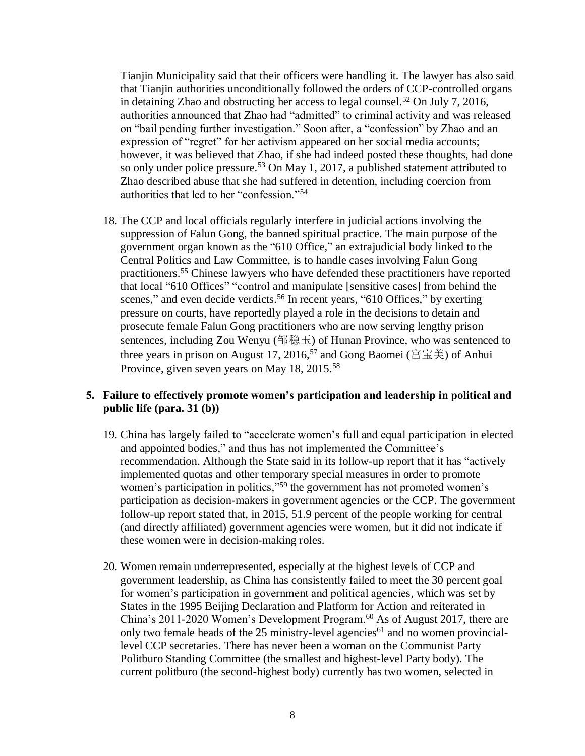Tianjin Municipality said that their officers were handling it. The lawyer has also said that Tianjin authorities unconditionally followed the orders of CCP-controlled organs in detaining Zhao and obstructing her access to legal counsel.<sup>52</sup> On July 7, 2016, authorities announced that Zhao had "admitted" to criminal activity and was released on "bail pending further investigation." Soon after, a "confession" by Zhao and an expression of "regret" for her activism appeared on her social media accounts; however, it was believed that Zhao, if she had indeed posted these thoughts, had done so only under police pressure.<sup>53</sup> On May 1, 2017, a published statement attributed to Zhao described abuse that she had suffered in detention, including coercion from authorities that led to her "confession."<sup>54</sup>

18. The CCP and local officials regularly interfere in judicial actions involving the suppression of Falun Gong, the banned spiritual practice. The main purpose of the government organ known as the "610 Office," an extrajudicial body linked to the Central Politics and Law Committee, is to handle cases involving Falun Gong practitioners. <sup>55</sup> Chinese lawyers who have defended these practitioners have reported that local "610 Offices" "control and manipulate [sensitive cases] from behind the scenes," and even decide verdicts.<sup>56</sup> In recent years, "610 Offices," by exerting pressure on courts, have reportedly played a role in the decisions to detain and prosecute female Falun Gong practitioners who are now serving lengthy prison sentences, including Zou Wenyu (邹稳玉) of Hunan Province, who was sentenced to three years in prison on August 17, 2016,<sup>57</sup> and Gong Baomei (宫宝美) of Anhui Province, given seven years on May 18, 2015.<sup>58</sup>

# 5. **Failure to effectively promote** women's participation and leadership in political and public life **(para. 31 (b))**

- 19. China has largely failed to "accelerate women's full and equal participation in elected and appointed bodies," and thus has not implemented the Committee's recommendation. Although the State said in its follow-up report that it has "actively implemented quotas and other temporary special measures in order to promote women's participation in politics,"<sup>59</sup> the government has not promoted women's participation as decision-makers in government agencies or the CCP. The government follow-up report stated that, in 2015, 51.9 percent of the people working for central (and directly affiliated) government agencies were women, but it did not indicate if these women were in decision-making roles.
- 20. Women remain underrepresented, especially at the highest levels of CCP and government leadership, as China has consistently failed to meet the 30 percent goal for women's participation in government and political agencies, which was set by States in the 1995 Beijing Declaration and Platform for Action and reiterated in China's 2011-2020 Women's Development Program.<sup>60</sup> As of August 2017, there are only two female heads of the 25 ministry-level agencies<sup>61</sup> and no women provinciallevel CCP secretaries. There has never been a woman on the Communist Party Politburo Standing Committee (the smallest and highest-level Party body). The current politburo (the second-highest body) currently has two women, selected in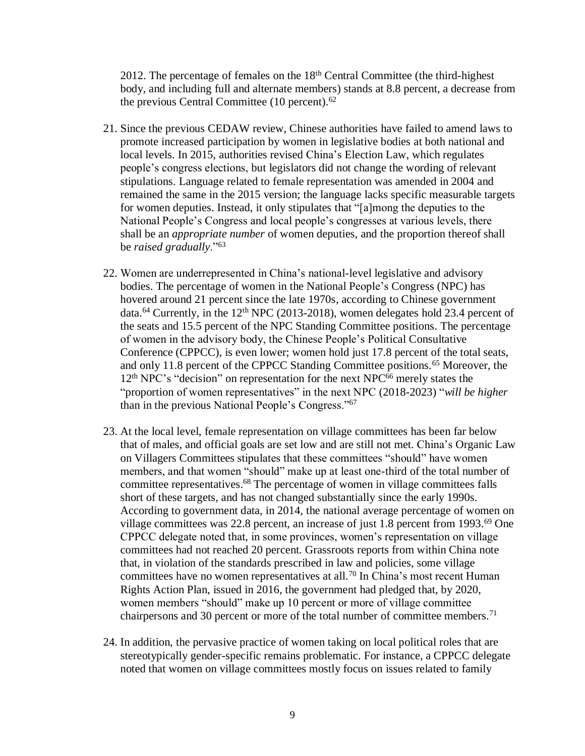2012. The percentage of females on the  $18<sup>th</sup>$  Central Committee (the third-highest body, and including full and alternate members) stands at 8.8 percent, a decrease from the previous Central Committee (10 percent). 62

- 21. Since the previous CEDAW review, Chinese authorities have failed to amend laws to promote increased participation by women in legislative bodies at both national and local levels. In 2015, authorities revised China's Election Law, which regulates people's congress elections, but legislators did not change the wording of relevant stipulations. Language related to female representation was amended in 2004 and remained the same in the 2015 version; the language lacks specific measurable targets for women deputies. Instead, it only stipulates that "[a]mong the deputies to the National People's Congress and local people's congresses at various levels, there shall be an *appropriate number* of women deputies, and the proportion thereof shall be *raised gradually*."<sup>63</sup>
- 22. Women are underrepresented in China's national-level legislative and advisory bodies. The percentage of women in the National People's Congress (NPC) has hovered around 21 percent since the late 1970s, according to Chinese government data.<sup>64</sup> Currently, in the  $12<sup>th</sup>$  NPC (2013-2018), women delegates hold 23.4 percent of the seats and 15.5 percent of the NPC Standing Committee positions. The percentage of women in the advisory body, the Chinese People's Political Consultative Conference (CPPCC), is even lower; women hold just 17.8 percent of the total seats, and only 11.8 percent of the CPPCC Standing Committee positions.<sup>65</sup> Moreover, the 12<sup>th</sup> NPC's "decision" on representation for the next NPC<sup>66</sup> merely states the "proportion of women representatives" in the next NPC (2018-2023) "*will be higher* than in the previous National People's Congress."<sup>67</sup>
- 23. At the local level, female representation on village committees has been far below that of males, and official goals are set low and are still not met. China's Organic Law on Villagers Committees stipulates that these committees "should" have women members, and that women "should" make up at least one-third of the total number of committee representatives. <sup>68</sup> The percentage of women in village committees falls short of these targets, and has not changed substantially since the early 1990s. According to government data, in 2014, the national average percentage of women on village committees was 22.8 percent, an increase of just  $1.8$  percent from 1993.<sup>69</sup> One CPPCC delegate noted that, in some provinces, women's representation on village committees had not reached 20 percent. Grassroots reports from within China note that, in violation of the standards prescribed in law and policies, some village committees have no women representatives at all.<sup>70</sup> In China's most recent Human Rights Action Plan, issued in 2016, the government had pledged that, by 2020, women members "should" make up 10 percent or more of village committee chairpersons and 30 percent or more of the total number of committee members.<sup>71</sup>
- 24. In addition, the pervasive practice of women taking on local political roles that are stereotypically gender-specific remains problematic. For instance, a CPPCC delegate noted that women on village committees mostly focus on issues related to family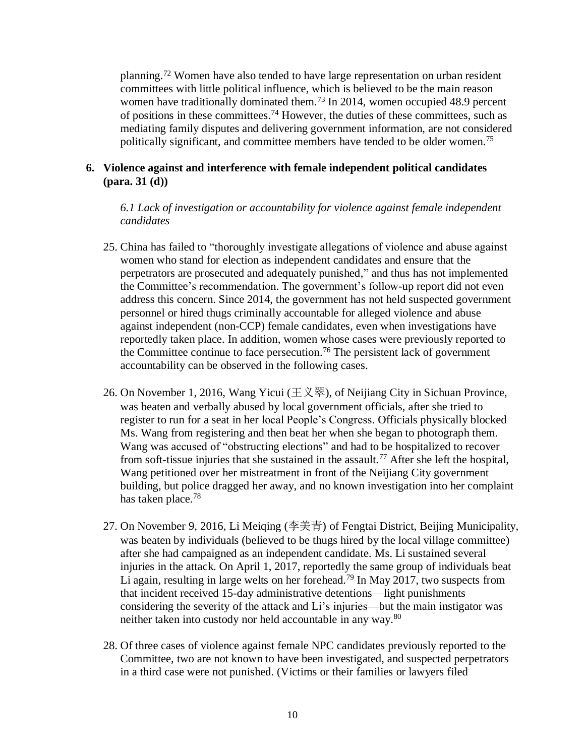planning.<sup>72</sup> Women have also tended to have large representation on urban resident committees with little political influence, which is believed to be the main reason women have traditionally dominated them.<sup>73</sup> In 2014, women occupied 48.9 percent of positions in these committees.<sup>74</sup> However, the duties of these committees, such as mediating family disputes and delivering government information, are not considered politically significant, and committee members have tended to be older women.<sup>75</sup>

# **6. Violence against and interference with female independent political candidates (para. 31 (d))**

*6.1 Lack of investigation or accountability for violence against female independent candidates*

- 25. China has failed to "thoroughly investigate allegations of violence and abuse against women who stand for election as independent candidates and ensure that the perpetrators are prosecuted and adequately punished," and thus has not implemented the Committee's recommendation. The government's follow-up report did not even address this concern. Since 2014, the government has not held suspected government personnel or hired thugs criminally accountable for alleged violence and abuse against independent (non-CCP) female candidates, even when investigations have reportedly taken place. In addition, women whose cases were previously reported to the Committee continue to face persecution.<sup>76</sup> The persistent lack of government accountability can be observed in the following cases.
- 26. On November 1, 2016, Wang Yicui (王义翠), of Neijiang City in Sichuan Province, was beaten and verbally abused by local government officials, after she tried to register to run for a seat in her local People's Congress. Officials physically blocked Ms. Wang from registering and then beat her when she began to photograph them. Wang was accused of "obstructing elections" and had to be hospitalized to recover from soft-tissue injuries that she sustained in the assault.<sup>77</sup> After she left the hospital, Wang petitioned over her mistreatment in front of the Neijiang City government building, but police dragged her away, and no known investigation into her complaint has taken place.<sup>78</sup>
- 27. On November 9, 2016, Li Meiqing (李美青) of Fengtai District, Beijing Municipality, was beaten by individuals (believed to be thugs hired by the local village committee) after she had campaigned as an independent candidate. Ms. Li sustained several injuries in the attack. On April 1, 2017, reportedly the same group of individuals beat Li again, resulting in large welts on her forehead.<sup>79</sup> In May 2017, two suspects from that incident received 15-day administrative detentions—light punishments considering the severity of the attack and Li's injuries—but the main instigator was neither taken into custody nor held accountable in any way.<sup>80</sup>
- 28. Of three cases of violence against female NPC candidates previously reported to the Committee, two are not known to have been investigated, and suspected perpetrators in a third case were not punished. (Victims or their families or lawyers filed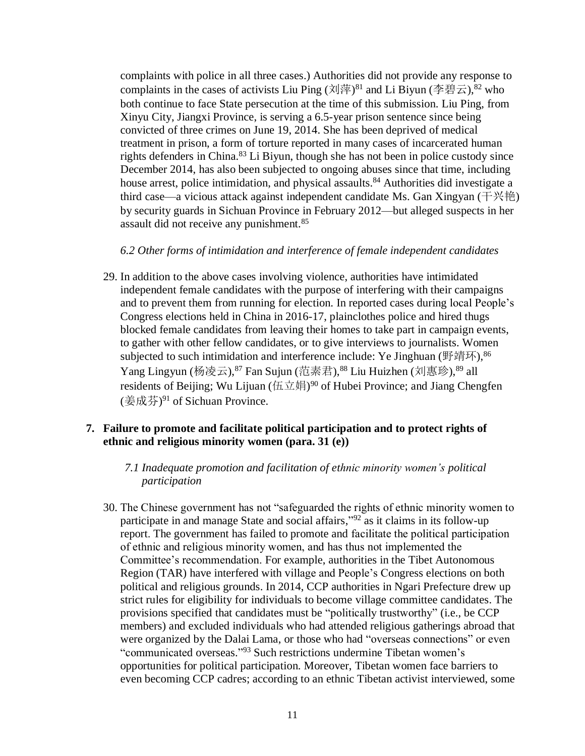complaints with police in all three cases.) Authorities did not provide any response to complaints in the cases of activists Liu Ping (刘萍)<sup>81</sup> and Li Biyun (李碧云), <sup>82</sup> who both continue to face State persecution at the time of this submission. Liu Ping, from Xinyu City, Jiangxi Province, is serving a 6.5-year prison sentence since being convicted of three crimes on June 19, 2014. She has been deprived of medical treatment in prison, a form of torture reported in many cases of incarcerated human rights defenders in China. <sup>83</sup> Li Biyun, though she has not been in police custody since December 2014, has also been subjected to ongoing abuses since that time, including house arrest, police intimidation, and physical assaults.<sup>84</sup> Authorities did investigate a third case—a vicious attack against independent candidate Ms. Gan Xingyan (干兴艳) by security guards in Sichuan Province in February 2012—but alleged suspects in her assault did not receive any punishment. 85

#### *6.2 Other forms of intimidation and interference of female independent candidates*

29. In addition to the above cases involving violence, authorities have intimidated independent female candidates with the purpose of interfering with their campaigns and to prevent them from running for election. In reported cases during local People's Congress elections held in China in 2016-17, plainclothes police and hired thugs blocked female candidates from leaving their homes to take part in campaign events, to gather with other fellow candidates, or to give interviews to journalists. Women subjected to such intimidation and interference include: Ye Jinghuan (野靖环),  $86$ Yang Lingyun (杨凌云),<sup>87</sup> Fan Sujun (范素君),<sup>88</sup> Liu Huizhen (刘惠珍),<sup>89</sup> all residents of Beijing; Wu Lijuan (伍立娟)<sup>90</sup> of Hubei Province; and Jiang Chengfen (姜成芬) <sup>91</sup> of Sichuan Province.

### **7. Failure to promote and facilitate political participation and to protect rights of ethnic and religious minority women (para. 31 (e))**

### *7.1 Inadequate promotion and facilitation of ethnic minority women's political participation*

30. The Chinese government has not "safeguarded the rights of ethnic minority women to participate in and manage State and social affairs,"<sup>92</sup> as it claims in its follow-up report. The government has failed to promote and facilitate the political participation of ethnic and religious minority women, and has thus not implemented the Committee's recommendation. For example, authorities in the Tibet Autonomous Region (TAR) have interfered with village and People's Congress elections on both political and religious grounds. In 2014, CCP authorities in Ngari Prefecture drew up strict rules for eligibility for individuals to become village committee candidates. The provisions specified that candidates must be "politically trustworthy" (i.e., be CCP members) and excluded individuals who had attended religious gatherings abroad that were organized by the Dalai Lama, or those who had "overseas connections" or even "communicated overseas." <sup>93</sup> Such restrictions undermine Tibetan women's opportunities for political participation. Moreover, Tibetan women face barriers to even becoming CCP cadres; according to an ethnic Tibetan activist interviewed, some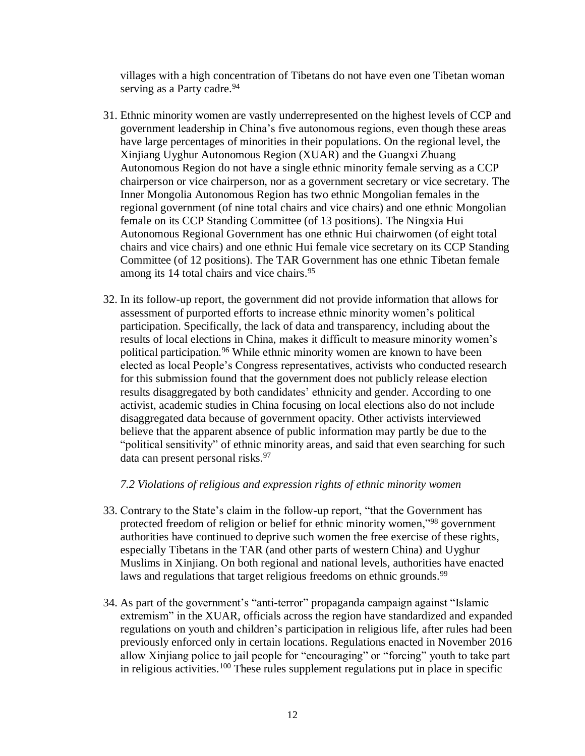villages with a high concentration of Tibetans do not have even one Tibetan woman serving as a Party cadre.<sup>94</sup>

- 31. Ethnic minority women are vastly underrepresented on the highest levels of CCP and government leadership in China's five autonomous regions, even though these areas have large percentages of minorities in their populations. On the regional level, the Xinjiang Uyghur Autonomous Region (XUAR) and the Guangxi Zhuang Autonomous Region do not have a single ethnic minority female serving as a CCP chairperson or vice chairperson, nor as a government secretary or vice secretary. The Inner Mongolia Autonomous Region has two ethnic Mongolian females in the regional government (of nine total chairs and vice chairs) and one ethnic Mongolian female on its CCP Standing Committee (of 13 positions). The Ningxia Hui Autonomous Regional Government has one ethnic Hui chairwomen (of eight total chairs and vice chairs) and one ethnic Hui female vice secretary on its CCP Standing Committee (of 12 positions). The TAR Government has one ethnic Tibetan female among its 14 total chairs and vice chairs. 95
- 32. In its follow-up report, the government did not provide information that allows for assessment of purported efforts to increase ethnic minority women's political participation. Specifically, the lack of data and transparency, including about the results of local elections in China, makes it difficult to measure minority women's political participation.<sup>96</sup> While ethnic minority women are known to have been elected as local People's Congress representatives, activists who conducted research for this submission found that the government does not publicly release election results disaggregated by both candidates' ethnicity and gender. According to one activist, academic studies in China focusing on local elections also do not include disaggregated data because of government opacity. Other activists interviewed believe that the apparent absence of public information may partly be due to the "political sensitivity" of ethnic minority areas, and said that even searching for such data can present personal risks.<sup>97</sup>

### *7.2 Violations of religious and expression rights of ethnic minority women*

- 33. Contrary to the State's claim in the follow-up report, "that the Government has protected freedom of religion or belief for ethnic minority women,"<sup>98</sup> government authorities have continued to deprive such women the free exercise of these rights, especially Tibetans in the TAR (and other parts of western China) and Uyghur Muslims in Xinjiang. On both regional and national levels, authorities have enacted laws and regulations that target religious freedoms on ethnic grounds.<sup>99</sup>
- 34. As part of the government's "anti-terror" propaganda campaign against "Islamic extremism" in the XUAR, officials across the region have standardized and expanded regulations on youth and children's participation in religious life, after rules had been previously enforced only in certain locations. Regulations enacted in November 2016 allow Xinjiang police to jail people for "encouraging" or "forcing" youth to take part in religious activities.<sup>100</sup> These rules supplement regulations put in place in specific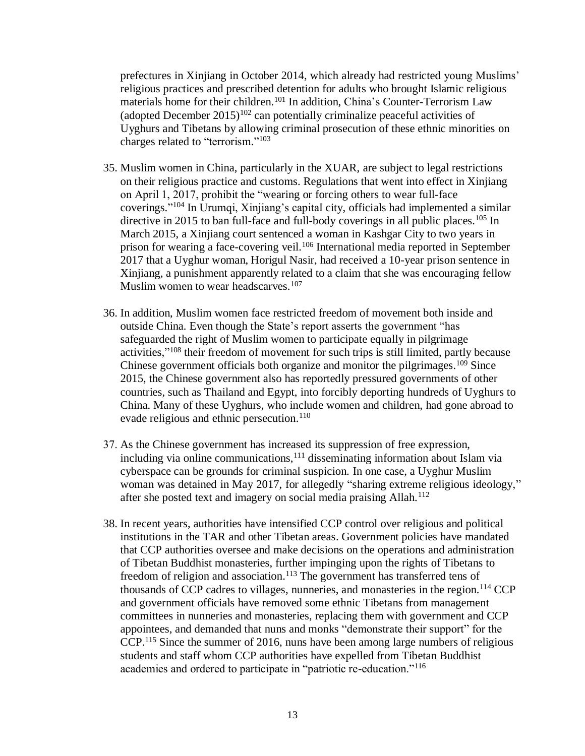prefectures in Xinjiang in October 2014, which already had restricted young Muslims' religious practices and prescribed detention for adults who brought Islamic religious materials home for their children.<sup>101</sup> In addition, China's Counter-Terrorism Law (adopted December  $2015$ )<sup>102</sup> can potentially criminalize peaceful activities of Uyghurs and Tibetans by allowing criminal prosecution of these ethnic minorities on charges related to "terrorism."<sup>103</sup>

- 35. Muslim women in China, particularly in the XUAR, are subject to legal restrictions on their religious practice and customs. Regulations that went into effect in Xinjiang on April 1, 2017, prohibit the "wearing or forcing others to wear full-face coverings." <sup>104</sup> In Urumqi, Xinjiang's capital city, officials had implemented a similar directive in 2015 to ban full-face and full-body coverings in all public places.<sup>105</sup> In March 2015, a Xinjiang court sentenced a woman in Kashgar City to two years in prison for wearing a face-covering veil.<sup>106</sup> International media reported in September 2017 that a Uyghur woman, Horigul Nasir, had received a 10-year prison sentence in Xinjiang, a punishment apparently related to a claim that she was encouraging fellow Muslim women to wear headscarves. $107$
- 36. In addition, Muslim women face restricted freedom of movement both inside and outside China. Even though the State's report asserts the government "has safeguarded the right of Muslim women to participate equally in pilgrimage activities,"<sup>108</sup> their freedom of movement for such trips is still limited, partly because Chinese government officials both organize and monitor the pilgrimages.<sup>109</sup> Since 2015, the Chinese government also has reportedly pressured governments of other countries, such as Thailand and Egypt, into forcibly deporting hundreds of Uyghurs to China. Many of these Uyghurs, who include women and children, had gone abroad to evade religious and ethnic persecution.<sup>110</sup>
- 37. As the Chinese government has increased its suppression of free expression, including via online communications,  $^{111}$  disseminating information about Islam via cyberspace can be grounds for criminal suspicion. In one case, a Uyghur Muslim woman was detained in May 2017, for allegedly "sharing extreme religious ideology," after she posted text and imagery on social media praising Allah.<sup>112</sup>
- 38. In recent years, authorities have intensified CCP control over religious and political institutions in the TAR and other Tibetan areas. Government policies have mandated that CCP authorities oversee and make decisions on the operations and administration of Tibetan Buddhist monasteries, further impinging upon the rights of Tibetans to freedom of religion and association.<sup>113</sup> The government has transferred tens of thousands of CCP cadres to villages, nunneries, and monasteries in the region.<sup>114</sup> CCP and government officials have removed some ethnic Tibetans from management committees in nunneries and monasteries, replacing them with government and CCP appointees, and demanded that nuns and monks "demonstrate their support" for the CCP. <sup>115</sup> Since the summer of 2016, nuns have been among large numbers of religious students and staff whom CCP authorities have expelled from Tibetan Buddhist academies and ordered to participate in "patriotic re-education."116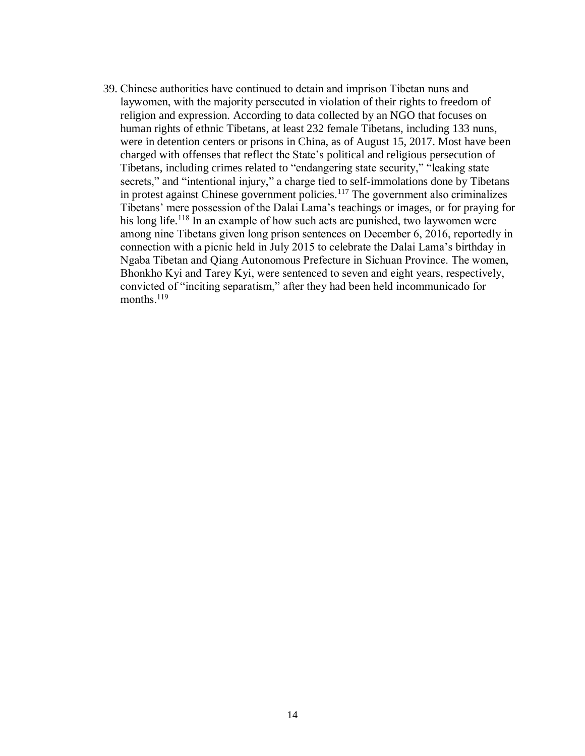39. Chinese authorities have continued to detain and imprison Tibetan nuns and laywomen, with the majority persecuted in violation of their rights to freedom of religion and expression. According to data collected by an NGO that focuses on human rights of ethnic Tibetans, at least 232 female Tibetans, including 133 nuns, were in detention centers or prisons in China, as of August 15, 2017. Most have been charged with offenses that reflect the State's political and religious persecution of Tibetans, including crimes related to "endangering state security," "leaking state secrets," and "intentional injury," a charge tied to self-immolations done by Tibetans in protest against Chinese government policies. <sup>117</sup> The government also criminalizes Tibetans' mere possession of the Dalai Lama's teachings or images, or for praying for his long life.<sup>118</sup> In an example of how such acts are punished, two laywomen were among nine Tibetans given long prison sentences on December 6, 2016, reportedly in connection with a picnic held in July 2015 to celebrate the Dalai Lama's birthday in Ngaba Tibetan and Qiang Autonomous Prefecture in Sichuan Province. The women, Bhonkho Kyi and Tarey Kyi, were sentenced to seven and eight years, respectively, convicted of "inciting separatism," after they had been held incommunicado for months. 119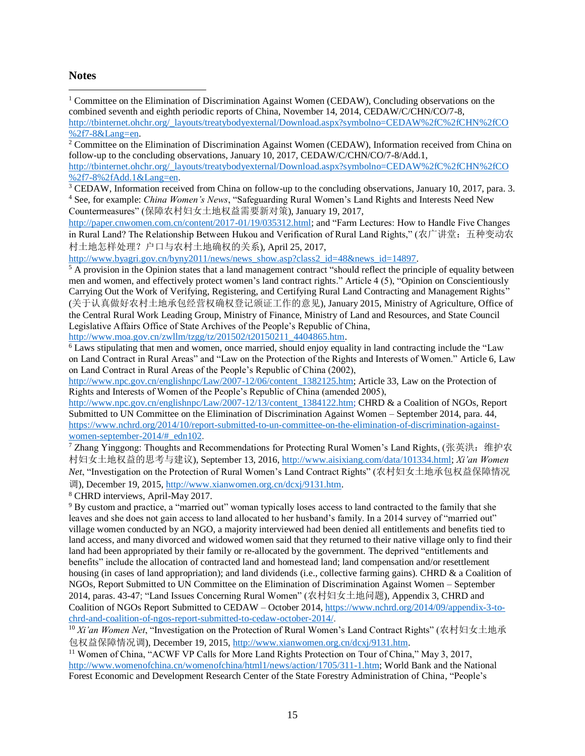#### **Notes**

 $\overline{a}$ <sup>1</sup> Committee on the Elimination of Discrimination Against Women (CEDAW), Concluding observations on the combined seventh and eighth periodic reports of China, November 14, 2014, CEDAW/C/CHN/CO/7-8, [http://tbinternet.ohchr.org/\\_layouts/treatybodyexternal/Download.aspx?symbolno=CEDAW%2fC%2fCHN%2fCO](http://tbinternet.ohchr.org/_layouts/treatybodyexternal/Download.aspx?symbolno=CEDAW%2fC%2fCHN%2fCO%2f7-8&Lang=en) [%2f7-8&Lang=en.](http://tbinternet.ohchr.org/_layouts/treatybodyexternal/Download.aspx?symbolno=CEDAW%2fC%2fCHN%2fCO%2f7-8&Lang=en) 

<sup>2</sup> Committee on the Elimination of Discrimination Against Women (CEDAW), Information received from China on follow-up to the concluding observations, January 10, 2017, CEDAW/C/CHN/CO/7-8/Add.1, [http://tbinternet.ohchr.org/\\_layouts/treatybodyexternal/Download.aspx?symbolno=CEDAW%2fC%2fCHN%2fCO](http://tbinternet.ohchr.org/_layouts/treatybodyexternal/Download.aspx?symbolno=CEDAW%2fC%2fCHN%2fCO%2f7-8%2fAdd.1&Lang=en) [%2f7-8%2fAdd.1&Lang=en.](http://tbinternet.ohchr.org/_layouts/treatybodyexternal/Download.aspx?symbolno=CEDAW%2fC%2fCHN%2fCO%2f7-8%2fAdd.1&Lang=en)

<sup>3</sup> CEDAW, Information received from China on follow-up to the concluding observations, January 10, 2017, para. 3. <sup>4</sup> See, for example: *China Women's News*, "Safeguarding Rural Women's Land Rights and Interests Need New Countermeasures" (保障农村妇女土地权益需要新对策), January 19, 2017,

[http://paper.cnwomen.com.cn/content/2017-01/19/035312.html;](http://paper.cnwomen.com.cn/content/2017-01/19/035312.html) and "Farm Lectures: How to Handle Five Changes in Rural Land? The Relationship Between Hukou and Verification of Rural Land Rights," (农广讲堂: 五种变动农 村土地怎样处理?户口与农村土地确权的关系), April 25, 2017,

[http://www.byagri.gov.cn/byny2011/news/news\\_show.asp?class2\\_id=48&news\\_id=14897.](http://www.byagri.gov.cn/byny2011/news/news_show.asp?class2_id=48&news_id=14897)

 $5 \text{ Å}$  provision in the Opinion states that a land management contract "should reflect the principle of equality between men and women, and effectively protect women's land contract rights." Article 4 (5), "Opinion on Conscientiously Carrying Out the Work of Verifying, Registering, and Certifying Rural Land Contracting and Management Rights" (关于认真做好农村土地承包经营权确权登记颁证工作的意见), January 2015, Ministry of Agriculture, Office of the Central Rural Work Leading Group, Ministry of Finance, Ministry of Land and Resources, and State Council Legislative Affairs Office of State Archives of the People's Republic of China, [http://www.moa.gov.cn/zwllm/tzgg/tz/201502/t20150211\\_4404865.htm.](http://www.moa.gov.cn/zwllm/tzgg/tz/201502/t20150211_4404865.htm)

 $6$  Laws stipulating that men and women, once married, should enjoy equality in land contracting include the "Law on Land Contract in Rural Areas" and "Law on the Protection of the Rights and Interests of Women." Article 6, Law on Land Contract in Rural Areas of the People's Republic of China (2002),

[http://www.npc.gov.cn/englishnpc/Law/2007-12/06/content\\_1382125.htm;](http://www.npc.gov.cn/englishnpc/Law/2007-12/06/content_1382125.htm) Article 33, Law on the Protection of Rights and Interests of Women of the People's Republic of China (amended 2005),

[http://www.npc.gov.cn/englishnpc/Law/2007-12/13/content\\_1384122.htm;](http://www.npc.gov.cn/englishnpc/Law/2007-12/13/content_1384122.htm) CHRD & a Coalition of NGOs, Report Submitted to UN Committee on the Elimination of Discrimination Against Women – September 2014, para. 44, [https://www.nchrd.org/2014/10/report-submitted-to-un-committee-on-the-elimination-of-discrimination-against](https://www.nchrd.org/2014/10/report-submitted-to-un-committee-on-the-elimination-of-discrimination-against-women-september-2014/#_edn102)women-september-2014/# edn102.

<sup>7</sup> Zhang Yinggong: Thoughts and Recommendations for Protecting Rural Women's Land Rights, (张英洪: 维护农 村妇女土地权益的思考与建议), September 13, 2016, [http://www.aisixiang.com/data/101334.html;](http://www.aisixiang.com/data/101334.html) *Xi'an Women Net*, "Investigation on the Protection of Rural Women's Land Contract Rights" (农村妇女土地承包权益保障情况 调), December 19, 2015, [http://www.xianwomen.org.cn/dcxj/9131.htm.](http://www.xianwomen.org.cn/dcxj/9131.htm)

<sup>8</sup> CHRD interviews, April-May 2017.

<sup>9</sup> By custom and practice, a "married out" woman typically loses access to land contracted to the family that she leaves and she does not gain access to land allocated to her husband's family. In a 2014 survey of "married out" village women conducted by an NGO, a majority interviewed had been denied all entitlements and benefits tied to land access, and many divorced and widowed women said that they returned to their native village only to find their land had been appropriated by their family or re-allocated by the government. The deprived "entitlements and benefits" include the allocation of contracted land and homestead land; land compensation and/or resettlement housing (in cases of land appropriation); and land dividends (i.e., collective farming gains). CHRD & a Coalition of NGOs, Report Submitted to UN Committee on the Elimination of Discrimination Against Women – September 2014, paras. 43-47; "Land Issues Concerning Rural Women" (农村妇女土地问题), Appendix 3, CHRD and Coalition of NGOs Report Submitted to CEDAW – October 2014[, https://www.nchrd.org/2014/09/appendix-3-to](https://www.nchrd.org/2014/09/appendix-3-to-chrd-and-coalition-of-ngos-report-submitted-to-cedaw-october-2014/)[chrd-and-coalition-of-ngos-report-submitted-to-cedaw-october-2014/.](https://www.nchrd.org/2014/09/appendix-3-to-chrd-and-coalition-of-ngos-report-submitted-to-cedaw-october-2014/)

<sup>10</sup> *Xi'an Women Net*, "Investigation on the Protection of Rural Women's Land Contract Rights" (农村妇女土地承 包权益保障情况调), December 19, 2015, [http://www.xianwomen.org.cn/dcxj/9131.htm.](http://www.xianwomen.org.cn/dcxj/9131.htm)

<sup>11</sup> Women of China, "ACWF VP Calls for More Land Rights Protection on Tour of China," May 3, 2017, [http://www.womenofchina.cn/womenofchina/html1/news/action/1705/311-1.htm;](http://www.womenofchina.cn/womenofchina/html1/news/action/1705/311-1.htm) World Bank and the National Forest Economic and Development Research Center of the State Forestry Administration of China, "People's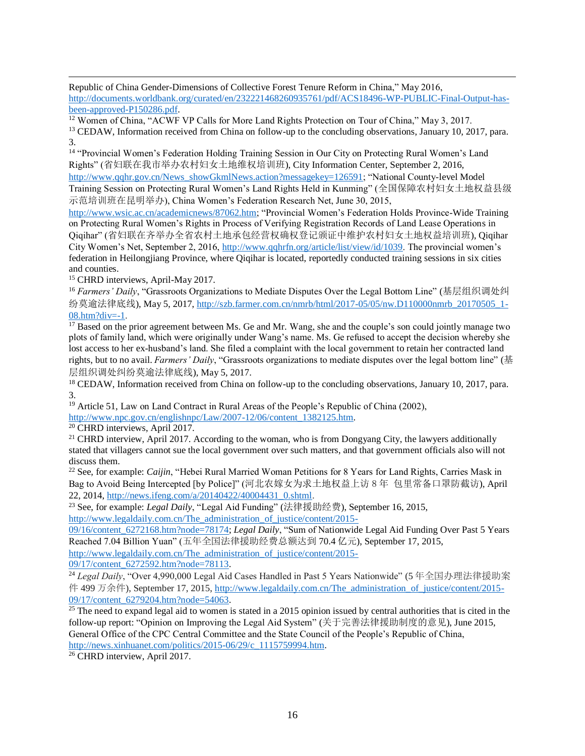$\overline{a}$ Republic of China Gender-Dimensions of Collective Forest Tenure Reform in China," May 2016, [http://documents.worldbank.org/curated/en/232221468260935761/pdf/ACS18496-WP-PUBLIC-Final-Output-has](http://documents.worldbank.org/curated/en/232221468260935761/pdf/ACS18496-WP-PUBLIC-Final-Output-has-been-approved-P150286.pdf)[been-approved-P150286.pdf.](http://documents.worldbank.org/curated/en/232221468260935761/pdf/ACS18496-WP-PUBLIC-Final-Output-has-been-approved-P150286.pdf)

<sup>12</sup> Women of China, "ACWF VP Calls for More Land Rights Protection on Tour of China," May 3, 2017.

<sup>13</sup> CEDAW, Information received from China on follow-up to the concluding observations, January 10, 2017, para. 3.

<sup>14</sup> "Provincial Women's Federation Holding Training Session in Our City on Protecting Rural Women's Land Rights" (省妇联在我市举办农村妇女土地维权培训班), City Information Center, September 2, 2016, [http://www.qqhr.gov.cn/News\\_showGkmlNews.action?messagekey=126591;](http://www.qqhr.gov.cn/News_showGkmlNews.action?messagekey=126591) "National County-level Model

Training Session on Protecting Rural Women's Land Rights Held in Kunming" (全国保障农村妇女土地权益县级 示范培训班在昆明举办), China Women's Federation Research Net, June 30, 2015,

[http://www.wsic.ac.cn/academicnews/87062.htm;](http://www.wsic.ac.cn/academicnews/87062.htm) "Provincial Women's Federation Holds Province-Wide Training on Protecting Rural Women's Rights in Process of Verifying Registration Records of Land Lease Operations in Qiqihar" (省妇联在齐举办全省农村土地承包经营权确权登记颁证中维护农村妇女土地权益培训班), Qiqihar City Women's Net, September 2, 2016, [http://www.qqhrfn.org/article/list/view/id/1039.](http://www.qqhrfn.org/article/list/view/id/1039) The provincial women's federation in Heilongjiang Province, where Qiqihar is located, reportedly conducted training sessions in six cities and counties.

<sup>15</sup> CHRD interviews, April-May 2017.

<sup>16</sup> *Farmers' Daily*, "Grassroots Organizations to Mediate Disputes Over the Legal Bottom Line" (基层组织调处纠 纷莫逾法律底线), May 5, 2017, [http://szb.farmer.com.cn/nmrb/html/2017-05/05/nw.D110000nmrb\\_20170505\\_1-](http://szb.farmer.com.cn/nmrb/html/2017-05/05/nw.D110000nmrb_20170505_1-08.htm?div=-1) [08.htm?div=-1.](http://szb.farmer.com.cn/nmrb/html/2017-05/05/nw.D110000nmrb_20170505_1-08.htm?div=-1)

 $17$  Based on the prior agreement between Ms. Ge and Mr. Wang, she and the couple's son could jointly manage two plots of family land, which were originally under Wang's name. Ms. Ge refused to accept the decision whereby she lost access to her ex-husband's land. She filed a complaint with the local government to retain her contracted land rights, but to no avail. *Farmers' Daily*, "Grassroots organizations to mediate disputes over the legal bottom line" (基 层组织调处纠纷莫逾法律底线), May 5, 2017.

<sup>18</sup> CEDAW, Information received from China on follow-up to the concluding observations, January 10, 2017, para. 3.

<sup>19</sup> Article 51, Law on Land Contract in Rural Areas of the People's Republic of China (2002). [http://www.npc.gov.cn/englishnpc/Law/2007-12/06/content\\_1382125.htm.](http://www.npc.gov.cn/englishnpc/Law/2007-12/06/content_1382125.htm)

<sup>20</sup> CHRD interviews, April 2017.

<sup>21</sup> CHRD interview, April 2017. According to the woman, who is from Dongyang City, the lawyers additionally stated that villagers cannot sue the local government over such matters, and that government officials also will not discuss them.

<sup>22</sup> See, for example: *Caijin*, "Hebei Rural Married Woman Petitions for 8 Years for Land Rights, Carries Mask in Bag to Avoid Being Intercepted [by Police]" (河北农嫁女为求土地权益上访 8 年 包里常备口罩防截访), April 22, 2014, [http://news.ifeng.com/a/20140422/40004431\\_0.shtml.](http://news.ifeng.com/a/20140422/40004431_0.shtml)

<sup>23</sup> See, for example: *Legal Daily*, "Legal Aid Funding" (法律援助经费), September 16, 2015,

[http://www.legaldaily.com.cn/The\\_administration\\_of\\_justice/content/2015-](http://www.legaldaily.com.cn/The_administration_of_justice/content/2015-09/16/content_6272168.htm?node=78174)

[09/16/content\\_6272168.htm?node=78174;](http://www.legaldaily.com.cn/The_administration_of_justice/content/2015-09/16/content_6272168.htm?node=78174) *Legal Daily*, "Sum of Nationwide Legal Aid Funding Over Past 5 Years Reached 7.04 Billion Yuan" (五年全国法律援助经费总额达到 70.4 亿元), September 17, 2015,

[http://www.legaldaily.com.cn/The\\_administration\\_of\\_justice/content/2015-](http://www.legaldaily.com.cn/The_administration_of_justice/content/2015-09/17/content_6272592.htm?node=78113) [09/17/content\\_6272592.htm?node=78113.](http://www.legaldaily.com.cn/The_administration_of_justice/content/2015-09/17/content_6272592.htm?node=78113)

<sup>24</sup> *Legal Daily*, "Over 4,990,000 Legal Aid Cases Handled in Past 5 Years Nationwide" (5 年全国办理法律援助案 件 499 万余件), September 17, 2015, [http://www.legaldaily.com.cn/The\\_administration\\_of\\_justice/content/2015-](http://www.legaldaily.com.cn/The_administration_of_justice/content/2015-09/17/content_6279204.htm?node=54063) [09/17/content\\_6279204.htm?node=54063.](http://www.legaldaily.com.cn/The_administration_of_justice/content/2015-09/17/content_6279204.htm?node=54063)

 $\frac{25}{25}$  The need to expand legal aid to women is stated in a 2015 opinion issued by central authorities that is cited in the follow-up report: "Opinion on Improving the Legal Aid System" (关于完善法律援助制度的意见), June 2015, General Office of the CPC Central Committee and the State Council of the People's Republic of China, [http://news.xinhuanet.com/politics/2015-06/29/c\\_1115759994.htm.](http://news.xinhuanet.com/politics/2015-06/29/c_1115759994.htm)

<sup>26</sup> CHRD interview, April 2017.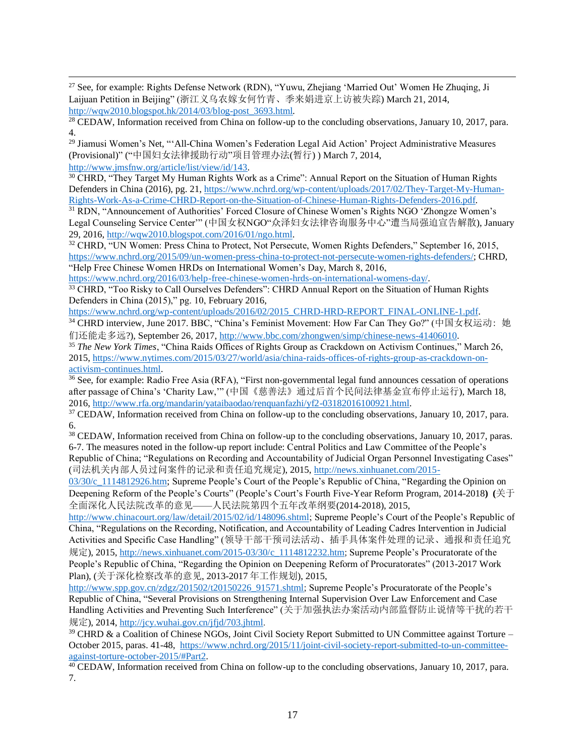$\overline{a}$ <sup>27</sup> See, for example: Rights Defense Network (RDN), "Yuwu, Zhejiang 'Married Out' Women He Zhuqing, Ji Laijuan Petition in Beijing" (浙江义乌农嫁女何竹青、季来娟进京上访被失踪) March 21, 2014, [http://wqw2010.blogspot.hk/2014/03/blog-post\\_3693.html](http://wqw2010.blogspot.hk/2014/03/blog-post_3693.html)*.*

<sup>28</sup> CEDAW, Information received from China on follow-up to the concluding observations, January 10, 2017, para. 4.

<sup>29</sup> Jiamusi Women's Net, "'All-China Women's Federation Legal Aid Action' Project Administrative Measures (Provisional)" ("中国妇女法律援助行动"项目管理办法(暂行) ) March 7, 2014, [http://www.jmsfnw.org/article/list/view/id/143.](http://www.jmsfnw.org/article/list/view/id/143)

<sup>30</sup> CHRD, "They Target My Human Rights Work as a Crime": Annual Report on the Situation of Human Rights Defenders in China (2016), pg. 21, [https://www.nchrd.org/wp-content/uploads/2017/02/They-Target-My-Human-](https://www.nchrd.org/wp-content/uploads/2017/02/They-Target-My-Human-Rights-Work-As-a-Crime-CHRD-Report-on-the-Situation-of-Chinese-Human-Rights-Defenders-2016.pdf)[Rights-Work-As-a-Crime-CHRD-Report-on-the-Situation-of-Chinese-Human-Rights-Defenders-2016.pdf.](https://www.nchrd.org/wp-content/uploads/2017/02/They-Target-My-Human-Rights-Work-As-a-Crime-CHRD-Report-on-the-Situation-of-Chinese-Human-Rights-Defenders-2016.pdf)

<sup>31</sup> RDN, "Announcement of Authorities' Forced Closure of Chinese Women's Rights NGO 'Zhongze Women's Legal Counseling Service Center'" (中国女权NGO"众泽妇女法律咨询服务中心"遭当局强迫宣告解散), January 29, 2016, [http://wqw2010.blogspot.com/2016/01/ngo.html.](http://wqw2010.blogspot.com/2016/01/ngo.html)

<sup>32</sup> CHRD, "UN Women: Press China to Protect, Not Persecute, Women Rights Defenders," September 16, 2015, [https://www.nchrd.org/2015/09/un-women-press-china-to-protect-not-persecute-women-rights-defenders/;](https://www.nchrd.org/2015/09/un-women-press-china-to-protect-not-persecute-women-rights-defenders/) CHRD, "Help Free Chinese Women HRDs on International Women's Day, March 8, 2016,

[https://www.nchrd.org/2016/03/help-free-chinese-women-hrds-on-international-womens-day/.](https://www.nchrd.org/2016/03/help-free-chinese-women-hrds-on-international-womens-day/)

<sup>33</sup> CHRD, "Too Risky to Call Ourselves Defenders": CHRD Annual Report on the Situation of Human Rights Defenders in China (2015)," pg. 10, February 2016,

[https://www.nchrd.org/wp-content/uploads/2016/02/2015\\_CHRD-HRD-REPORT\\_FINAL-ONLINE-1.pdf.](https://www.nchrd.org/wp-content/uploads/2016/02/2015_CHRD-HRD-REPORT_FINAL-ONLINE-1.pdf)

<sup>34</sup> CHRD interview, June 2017. BBC, "China's Feminist Movement: How Far Can They Go?" (中国女权运动: 她 们还能走多远?), September 26, 2017, [http://www.bbc.com/zhongwen/simp/chinese-news-41406010.](http://www.bbc.com/zhongwen/simp/chinese-news-41406010)

<sup>35</sup> *The New York Times*, "China Raids Offices of Rights Group as Crackdown on Activism Continues," March 26, 2015, [https://www.nytimes.com/2015/03/27/world/asia/china-raids-offices-of-rights-group-as-crackdown-on](https://www.nytimes.com/2015/03/27/world/asia/china-raids-offices-of-rights-group-as-crackdown-on-activism-continues.html)[activism-continues.html.](https://www.nytimes.com/2015/03/27/world/asia/china-raids-offices-of-rights-group-as-crackdown-on-activism-continues.html)

 $36$  See, for example: Radio Free Asia (RFA), "First non-governmental legal fund announces cessation of operations after passage of China's 'Charity Law,'" (中国《慈善法》通过后首个民间法律基金宣布停止运行), March 18, 2016, [http://www.rfa.org/mandarin/yataibaodao/renquanfazhi/yf2-03182016100921.html.](http://www.rfa.org/mandarin/yataibaodao/renquanfazhi/yf2-03182016100921.html)

<sup>37</sup> CEDAW, Information received from China on follow-up to the concluding observations, January 10, 2017, para. 6.

<sup>38</sup> CEDAW, Information received from China on follow-up to the concluding observations, January 10, 2017, paras. 6-7. The measures noted in the follow-up report include: Central Politics and Law Committee of the People's Republic of China; "Regulations on Recording and Accountability of Judicial Organ Personnel Investigating Cases" (司法机关内部人员过问案件的记录和责任追究规定), 2015[, http://news.xinhuanet.com/2015-](http://news.xinhuanet.com/2015-03/30/c_1114812926.htm)

[03/30/c\\_1114812926.htm;](http://news.xinhuanet.com/2015-03/30/c_1114812926.htm) Supreme People's Court of the People's Republic of China, "Regarding the Opinion on Deepening Reform of the People's Courts" (People's Court's Fourth Five-Year Reform Program, 2014-2018**) (**关于 全面深化人民法院改革的意见——人民法院第四个五年改革纲要(2014-2018), 2015,

[http://www.chinacourt.org/law/detail/2015/02/id/148096.shtml;](http://www.chinacourt.org/law/detail/2015/02/id/148096.shtml) Supreme People's Court of the People's Republic of China, "Regulations on the Recording, Notification, and Accountability of Leading Cadres Intervention in Judicial Activities and Specific Case Handling" (领导干部干预司法活动、插手具体案件处理的记录、通报和责任追究 规定), 2015, [http://news.xinhuanet.com/2015-03/30/c\\_1114812232.htm;](http://news.xinhuanet.com/2015-03/30/c_1114812232.htm) Supreme People's Procuratorate of the People's Republic of China, "Regarding the Opinion on Deepening Reform of Procuratorates" (2013-2017 Work Plan), (关于深化检察改革的意见, 2013-2017 年工作规划), 2015,

[http://www.spp.gov.cn/zdgz/201502/t20150226\\_91571.shtml;](http://www.spp.gov.cn/zdgz/201502/t20150226_91571.shtml) Supreme People's Procuratorate of the People's Republic of China, "Several Provisions on Strengthening Internal Supervision Over Law Enforcement and Case Handling Activities and Preventing Such Interference" (关于加强执法办案活动内部监督防止说情等干扰的若干 规定), 2014, [http://jcy.wuhai.gov.cn/jfjd/703.jhtml.](http://jcy.wuhai.gov.cn/jfjd/703.jhtml)

<sup>39</sup> CHRD & a Coalition of Chinese NGOs, Joint Civil Society Report Submitted to UN Committee against Torture – October 2015, paras. 41-48, [https://www.nchrd.org/2015/11/joint-civil-society-report-submitted-to-un-committee](https://www.nchrd.org/2015/11/joint-civil-society-report-submitted-to-un-committee-against-torture-october-2015/#Part2)[against-torture-october-2015/#Part2.](https://www.nchrd.org/2015/11/joint-civil-society-report-submitted-to-un-committee-against-torture-october-2015/#Part2)

<sup>40</sup> CEDAW, Information received from China on follow-up to the concluding observations, January 10, 2017, para. 7.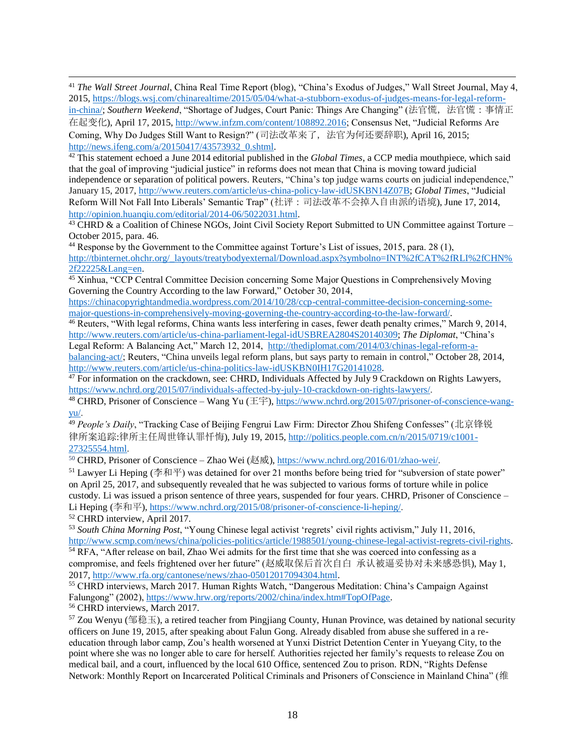<sup>41</sup> *The Wall Street Journal*, China Real Time Report (blog), "China's Exodus of Judges," Wall Street Journal, May 4, 2015, [https://blogs.wsj.com/chinarealtime/2015/05/04/what-a-stubborn-exodus-of-judges-means-for-legal-reform](https://blogs.wsj.com/chinarealtime/2015/05/04/what-a-stubborn-exodus-of-judges-means-for-legal-reform-in-china/)[in-china/;](https://blogs.wsj.com/chinarealtime/2015/05/04/what-a-stubborn-exodus-of-judges-means-for-legal-reform-in-china/) *Southern Weekend*, "Shortage of Judges, Court Panic: Things Are Changing" (法官慌, 法官慌: 事情正 在起变化), April 17, 2015, [http://www.infzm.com/content/108892.2016;](http://www.infzm.com/content/108892.2016) Consensus Net, "Judicial Reforms Are Coming, Why Do Judges Still Want to Resign?" (司法改革来了,法官为何还要辞职), April 16, 2015; [http://news.ifeng.com/a/20150417/43573932\\_0.shtml.](http://news.ifeng.com/a/20150417/43573932_0.shtml)

<sup>42</sup> This statement echoed a June 2014 editorial published in the *Global Times*, a CCP media mouthpiece, which said that the goal of improving "judicial justice" in reforms does not mean that China is moving toward judicial independence or separation of political powers. Reuters, "China's top judge warns courts on judicial independence," January 15, 2017, [http://www.reuters.com/article/us-china-policy-law-idUSKBN14Z07B;](http://www.reuters.com/article/us-china-policy-law-idUSKBN14Z07B) *Global Times*, "Judicial Reform Will Not Fall Into Liberals' Semantic Trap" (社评:司法改革不会掉入自由派的语境), June 17, 2014, [http://opinion.huanqiu.com/editorial/2014-06/5022031.html.](http://opinion.huanqiu.com/editorial/2014-06/5022031.html)

<sup>43</sup> CHRD & a Coalition of Chinese NGOs, Joint Civil Society Report Submitted to UN Committee against Torture – October 2015, para. 46.

<sup>44</sup> Response by the Government to the Committee against Torture's List of issues, 2015, para. 28 (1), [http://tbinternet.ohchr.org/\\_layouts/treatybodyexternal/Download.aspx?symbolno=INT%2fCAT%2fRLI%2fCHN%](http://tbinternet.ohchr.org/_layouts/treatybodyexternal/Download.aspx?symbolno=INT%2fCAT%2fRLI%2fCHN%2f22225&Lang=en) [2f22225&Lang=en.](http://tbinternet.ohchr.org/_layouts/treatybodyexternal/Download.aspx?symbolno=INT%2fCAT%2fRLI%2fCHN%2f22225&Lang=en)

<sup>45</sup> Xinhua, "CCP Central Committee Decision concerning Some Major Questions in Comprehensively Moving Governing the Country According to the law Forward," October 30, 2014,

[https://chinacopyrightandmedia.wordpress.com/2014/10/28/ccp-central-committee-decision-concerning-some](https://chinacopyrightandmedia.wordpress.com/2014/10/28/ccp-central-committee-decision-concerning-some-major-questions-in-comprehensively-moving-governing-the-country-according-to-the-law-forward/)[major-questions-in-comprehensively-moving-governing-the-country-according-to-the-law-forward/.](https://chinacopyrightandmedia.wordpress.com/2014/10/28/ccp-central-committee-decision-concerning-some-major-questions-in-comprehensively-moving-governing-the-country-according-to-the-law-forward/)

<sup>46</sup> Reuters, "With legal reforms, China wants less interfering in cases, fewer death penalty crimes," March 9, 2014, [http://www.reuters.com/article/us-china-parliament-legal-idUSBREA2804S20140309;](http://www.reuters.com/article/us-china-parliament-legal-idUSBREA2804S20140309) *The Diplomat*, "China's

Legal Reform: A Balancing Act," March 12, 2014, [http://thediplomat.com/2014/03/chinas-legal-reform-a](http://thediplomat.com/2014/03/chinas-legal-reform-a-balancing-act/)[balancing-act/;](http://thediplomat.com/2014/03/chinas-legal-reform-a-balancing-act/) Reuters, "China unveils legal reform plans, but says party to remain in control," October 28, 2014, [http://www.reuters.com/article/us-china-politics-law-idUSKBN0IH17G20141028.](http://www.reuters.com/article/us-china-politics-law-idUSKBN0IH17G20141028)

<sup>47</sup> For information on the crackdown, see: CHRD, Individuals Affected by July 9 Crackdown on Rights Lawyers, [https://www.nchrd.org/2015/07/individuals-affected-by-july-10-crackdown-on-rights-lawyers/.](https://www.nchrd.org/2015/07/individuals-affected-by-july-10-crackdown-on-rights-lawyers/)

<sup>48</sup> CHRD, Prisoner of Conscience – Wang Yu (王宇), [https://www.nchrd.org/2015/07/prisoner-of-conscience-wang](https://www.nchrd.org/2015/07/prisoner-of-conscience-wang-yu/)[yu/.](https://www.nchrd.org/2015/07/prisoner-of-conscience-wang-yu/)

<sup>49</sup> People's Daily, "Tracking Case of Beijing Fengrui Law Firm: Director Zhou Shifeng Confesses" (北京锋锐 律所案追踪:律所主任周世锋认罪忏悔), July 19, 2015, [http://politics.people.com.cn/n/2015/0719/c1001-](http://politics.people.com.cn/n/2015/0719/c1001-27325554.html) [27325554.html.](http://politics.people.com.cn/n/2015/0719/c1001-27325554.html)

<sup>50</sup> CHRD, Prisoner of Conscience – Zhao Wei (赵威), [https://www.nchrd.org/2016/01/zhao-wei/.](https://www.nchrd.org/2016/01/zhao-wei/)

<sup>51</sup> Lawyer Li Heping (李和平) was detained for over 21 months before being tried for "subversion of state power" on April 25, 2017, and subsequently revealed that he was subjected to various forms of torture while in police custody. Li was issued a prison sentence of three years, suspended for four years. CHRD, Prisoner of Conscience – Li Heping (李和平), [https://www.nchrd.org/2015/08/prisoner-of-conscience-li-heping/.](https://www.nchrd.org/2015/08/prisoner-of-conscience-li-heping/)

<sup>52</sup> CHRD interview, April 2017.

 $\overline{a}$ 

<sup>53</sup> *South China Morning Post*, "Young Chinese legal activist 'regrets' civil rights activism," July 11, 2016, [http://www.scmp.com/news/china/policies-politics/article/1988501/young-chinese-legal-activist-regrets-civil-rights.](http://www.scmp.com/news/china/policies-politics/article/1988501/young-chinese-legal-activist-regrets-civil-rights) <sup>54</sup> RFA, "After release on bail, Zhao Wei admits for the first time that she was coerced into confessing as a

compromise, and feels frightened over her future" (赵威取保后首次自白 承认被逼妥协对未来感恐惧), May 1, 2017, [http://www.rfa.org/cantonese/news/zhao-05012017094304.html.](http://www.rfa.org/cantonese/news/zhao-05012017094304.html)

<sup>55</sup> CHRD interviews, March 2017. Human Rights Watch, "Dangerous Meditation: China's Campaign Against Falungong" (2002), [https://www.hrw.org/reports/2002/china/index.htm#TopOfPage.](https://www.hrw.org/reports/2002/china/index.htm#TopOfPage)

<sup>56</sup> CHRD interviews, March 2017.

 $57$  Zou Wenyu (邹稳玉), a retired teacher from Pingjiang County, Hunan Province, was detained by national security officers on June 19, 2015, after speaking about Falun Gong. Already disabled from abuse she suffered in a reeducation through labor camp, Zou's health worsened at Yunxi District Detention Center in Yueyang City, to the point where she was no longer able to care for herself. Authorities rejected her family's requests to release Zou on medical bail, and a court, influenced by the local 610 Office, sentenced Zou to prison. RDN, "Rights Defense Network: Monthly Report on Incarcerated Political Criminals and Prisoners of Conscience in Mainland China" (维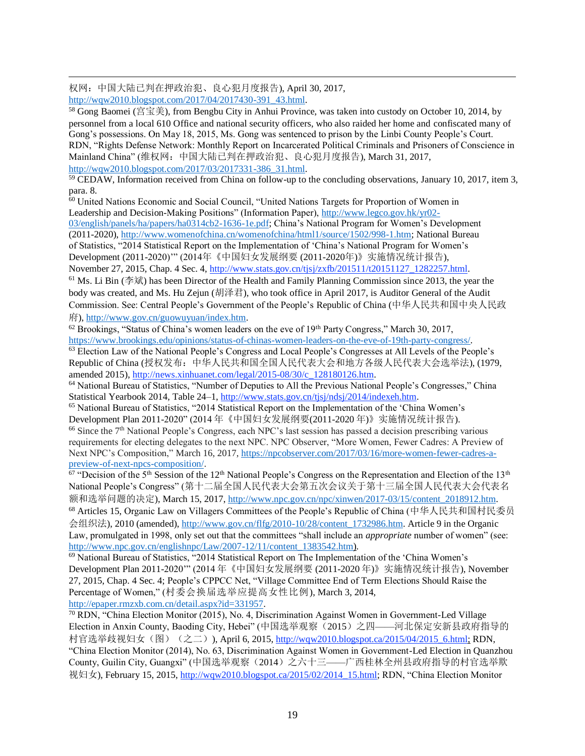权网:中国大陆已判在押政治犯、良心犯月度报告), April 30, 2017, [http://wqw2010.blogspot.com/2017/04/2017430-391\\_43.html.](http://wqw2010.blogspot.com/2017/04/2017430-391_43.html)

 $\overline{a}$ 

 $58$  Gong Baomei (宫宝美), from Bengbu City in Anhui Province, was taken into custody on October 10, 2014, by personnel from a local 610 Office and national security officers, who also raided her home and confiscated many of Gong's possessions. On May 18, 2015, Ms. Gong was sentenced to prison by the Linbi County People's Court. RDN, "Rights Defense Network: Monthly Report on Incarcerated Political Criminals and Prisoners of Conscience in Mainland China" (维权网:中国大陆已判在押政治犯、良心犯月度报告), March 31, 2017, [http://wqw2010.blogspot.com/2017/03/2017331-386\\_31.html.](http://wqw2010.blogspot.com/2017/03/2017331-386_31.html)

<sup>59</sup> CEDAW, Information received from China on follow-up to the concluding observations, January 10, 2017, item 3, para. 8.

<sup>60</sup> United Nations Economic and Social Council, "United Nations Targets for Proportion of Women in Leadership and Decision-Making Positions" (Information Paper), [http://www.legco.gov.hk/yr02-](http://www.legco.gov.hk/yr02-03/english/panels/ha/papers/ha0314cb2-1636-1e.pdf)

[03/english/panels/ha/papers/ha0314cb2-1636-1e.pdf;](http://www.legco.gov.hk/yr02-03/english/panels/ha/papers/ha0314cb2-1636-1e.pdf) China's National Program for Women's Development (2011-2020), [http://www.womenofchina.cn/womenofchina/html1/source/1502/998-1.htm;](http://www.womenofchina.cn/womenofchina/html1/source/1502/998-1.htm) National Bureau of Statistics, "2014 Statistical Report on the Implementation of 'China's National Program for Women's Development (2011-2020)'" (2014年《中国妇女发展纲要 (2011-2020年)》实施情况统计报告), November 27, 2015, Chap. 4 Sec. 4, [http://www.stats.gov.cn/tjsj/zxfb/201511/t20151127\\_1282257.html.](http://www.stats.gov.cn/tjsj/zxfb/201511/t20151127_1282257.html)

 $61$  Ms. Li Bin (李斌) has been Director of the Health and Family Planning Commission since 2013, the year the body was created, and Ms. Hu Zejun (胡泽君), who took office in April 2017, is Auditor General of the Audit Commission. See: Central People's Government of the People's Republic of China (中华人民共和国中央人民政 府), [http://www.gov.cn/guowuyuan/index.htm.](http://www.gov.cn/guowuyuan/index.htm)

 $62$  Brookings, "Status of China's women leaders on the eve of 19<sup>th</sup> Party Congress," March 30, 2017, [https://www.brookings.edu/opinions/status-of-chinas-women-leaders-on-the-eve-of-19th-party-congress/.](https://www.brookings.edu/opinions/status-of-chinas-women-leaders-on-the-eve-of-19th-party-congress/) 

<sup>63</sup> Election Law of the National People's Congress and Local People's Congresses at All Levels of the People's Republic of China (授权发布:中华人民共和国全国人民代表大会和地方各级人民代表大会选举法), (1979, amended 2015), [http://news.xinhuanet.com/legal/2015-08/30/c\\_128180126.htm.](http://news.xinhuanet.com/legal/2015-08/30/c_128180126.htm)

<sup>64</sup> National Bureau of Statistics, "Number of Deputies to All the Previous National People's Congresses," China Statistical Yearbook 2014, Table 24–1, [http://www.stats.gov.cn/tjsj/ndsj/2014/indexeh.htm.](http://www.stats.gov.cn/tjsj/ndsj/2014/indexeh.htm)

<sup>65</sup> National Bureau of Statistics, "2014 Statistical Report on the Implementation of the 'China Women's Development Plan 2011-2020" (2014 年《中国妇女发展纲要(2011-2020 年)》实施情况统计报告).

<sup>66</sup> Since the 7<sup>th</sup> National People's Congress, each NPC's last session has passed a decision prescribing various requirements for electing delegates to the next NPC. NPC Observer, "More Women, Fewer Cadres: A Preview of Next NPC's Composition," March 16, 2017, [https://npcobserver.com/2017/03/16/more-women-fewer-cadres-a](https://npcobserver.com/2017/03/16/more-women-fewer-cadres-a-preview-of-next-npcs-composition/)[preview-of-next-npcs-composition/.](https://npcobserver.com/2017/03/16/more-women-fewer-cadres-a-preview-of-next-npcs-composition/)

<sup>67</sup> "Decision of the 5<sup>th</sup> Session of the 12<sup>th</sup> National People's Congress on the Representation and Election of the 13<sup>th</sup> National People's Congress" (第十二届全国人民代表大会第五次会议关于第十三届全国人民代表大会代表名 额和选举问题的决定), March 15, 2017, http://www.npc.gov.cn/npc/xinwen/2017-03/15/content\_2018912.htm.

<sup>68</sup> Articles 15, Organic Law on Villagers Committees of the People's Republic of China (中华人民共和国村民委员 会组织法), 2010 (amended), [http://www.gov.cn/flfg/2010-10/28/content\\_1732986.htm.](http://www.gov.cn/flfg/2010-10/28/content_1732986.htm) Article 9 in the Organic Law, promulgated in 1998, only set out that the committees "shall include an *appropriate* number of women" (see: [http://www.npc.gov.cn/englishnpc/Law/2007-12/11/content\\_1383542.htm\)](http://www.npc.gov.cn/englishnpc/Law/2007-12/11/content_1383542.htm).

<sup>69</sup> National Bureau of Statistics, "2014 Statistical Report on The Implementation of the 'China Women's Development Plan 2011-2020'" (2014 年《中国妇女发展纲要 (2011-2020 年)》实施情况统计报告), November 27, 2015, Chap. 4 Sec. 4; People's CPPCC Net, "Village Committee End of Term Elections Should Raise the Percentage of Women," (村委会换届选举应提高女性比例), March 3, 2014, [http://epaper.rmzxb.com.cn/detail.aspx?id=331957.](http://epaper.rmzxb.com.cn/detail.aspx?id=331957)

<sup>70</sup> RDN, "China Election Monitor (2015), No. 4, Discrimination Against Women in Government-Led Village Election in Anxin County, Baoding City, Hebei" (中国选举观察(2015)之四——河北保定安新县政府指导的 村官选举歧视妇女(图)(之二)), April 6, 2015, [http://wqw2010.blogspot.ca/2015/04/2015\\_6.html;](http://wqw2010.blogspot.ca/2015/04/2015_6.html) RDN, "China Election Monitor (2014), No. 63, Discrimination Against Women in Government-Led Election in Quanzhou County, Guilin City, Guangxi" (中国选举观察(2014)之六十三——广西桂林全州县政府指导的村官选举欺 视妇女), February 15, 2015, [http://wqw2010.blogspot.ca/2015/02/2014\\_15.html;](http://wqw2010.blogspot.ca/2015/02/2014_15.html) RDN, "China Election Monitor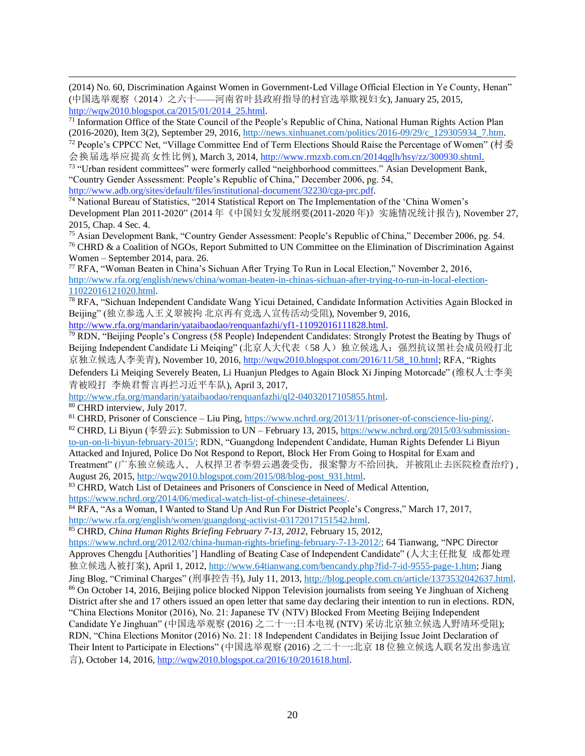$\overline{a}$ (2014) No. 60, Discrimination Against Women in Government-Led Village Official Election in Ye County, Henan" (中国选举观察(2014)之六十——河南省叶县政府指导的村官选举欺视妇女), January 25, 2015, [http://wqw2010.blogspot.ca/2015/01/2014\\_25.html.](http://wqw2010.blogspot.ca/2015/01/2014_25.html)

<sup>71</sup> Information Office of the State Council of the People's Republic of China, National Human Rights Action Plan (2016-2020), Item 3(2), September 29, 2016[, http://news.xinhuanet.com/politics/2016-09/29/c\\_129305934\\_7.htm.](http://news.xinhuanet.com/politics/2016-09/29/c_129305934_7.htm)

 $72$  People's CPPCC Net, "Village Committee End of Term Elections Should Raise the Percentage of Women" (村委 会换届选举应提高女性比例), March 3, 2014, [http://www.rmzxb.com.cn/2014qglh/hsy/zz/300930.shtml.](http://www.rmzxb.com.cn/2014qglh/hsy/zz/300930.shtml)

<sup>73</sup> "Urban resident committees" were formerly called "neighborhood committees." Asian Development Bank, "Country Gender Assessment: People's Republic of China," December 2006, pg. 54,

[http://www.adb.org/sites/default/files/institutional-document/32230/cga-prc.pdf.](http://www.adb.org/sites/default/files/institutional-document/32230/cga-prc.pdf)

<sup>74</sup> National Bureau of Statistics, "2014 Statistical Report on The Implementation of the 'China Women's Development Plan 2011-2020" (2014 年《中国妇女发展纲要(2011-2020 年)》实施情况统计报告), November 27, 2015, Chap. 4 Sec. 4.

<sup>75</sup> Asian Development Bank, "Country Gender Assessment: People's Republic of China," December 2006, pg. 54. <sup>76</sup> CHRD & a Coalition of NGOs, Report Submitted to UN Committee on the Elimination of Discrimination Against Women – September 2014, para. 26.

<sup>77</sup> RFA, "Woman Beaten in China's Sichuan After Trying To Run in Local Election," November 2, 2016, [http://www.rfa.org/english/news/china/woman-beaten-in-chinas-sichuan-after-trying-to-run-in-local-election-](http://www.rfa.org/english/news/china/woman-beaten-in-chinas-sichuan-after-trying-to-run-in-local-election-11022016121020.html)[11022016121020.html.](http://www.rfa.org/english/news/china/woman-beaten-in-chinas-sichuan-after-trying-to-run-in-local-election-11022016121020.html)

<sup>78</sup> RFA, "Sichuan Independent Candidate Wang Yicui Detained, Candidate Information Activities Again Blocked in Beijing" (独立参选人王义翠被拘 北京再有竞选人宣传活动受阻), November 9, 2016,

[http://www.rfa.org/mandarin/yataibaodao/renquanfazhi/yf1-11092016111828.html.](http://www.rfa.org/mandarin/yataibaodao/renquanfazhi/yf1-11092016111828.html)

<sup>79</sup> RDN, "Beijing People's Congress (58 People) Independent Candidates: Strongly Protest the Beating by Thugs of Beijing Independent Candidate Li Meiging" (北京人大代表(58人)独立候选人: 强烈抗议黑社会成员殴打北 京独立候选人李美青), November 10, 2016, [http://wqw2010.blogspot.com/2016/11/58\\_10.html;](http://wqw2010.blogspot.com/2016/11/58_10.html) RFA, "Rights

Defenders Li Meiqing Severely Beaten, Li Huanjun Pledges to Again Block Xi Jinping Motorcade" (维权人士李美 青被殴打 李焕君誓言再拦习近平车队), April 3, 2017,

[http://www.rfa.org/mandarin/yataibaodao/renquanfazhi/ql2-04032017105855.html.](http://www.rfa.org/mandarin/yataibaodao/renquanfazhi/ql2-04032017105855.html)

<sup>80</sup> CHRD interview, July 2017.

<sup>81</sup> CHRD, Prisoner of Conscience – Liu Ping, [https://www.nchrd.org/2013/11/prisoner-of-conscience-liu-ping/.](https://www.nchrd.org/2013/11/prisoner-of-conscience-liu-ping/)

<sup>82</sup> CHRD, Li Biyun (李碧云): Submission to UN – February 13, 2015[, https://www.nchrd.org/2015/03/submission](https://www.nchrd.org/2015/03/submission-to-un-on-li-biyun-february-2015/)[to-un-on-li-biyun-february-2015/;](https://www.nchrd.org/2015/03/submission-to-un-on-li-biyun-february-2015/) RDN, "Guangdong Independent Candidate, Human Rights Defender Li Biyun Attacked and Injured, Police Do Not Respond to Report, Block Her From Going to Hospital for Exam and Treatment" (广东独立候选人、人权捍卫者李碧云遇袭受伤,报案警方不给回执,并被阻止去医院检查治疗) , August 26, 2015[, http://wqw2010.blogspot.com/2015/08/blog-post\\_931.html.](http://wqw2010.blogspot.com/2015/08/blog-post_931.html)

83 CHRD, Watch List of Detainees and Prisoners of Conscience in Need of Medical Attention,

[https://www.nchrd.org/2014/06/medical-watch-list-of-chinese-detainees/.](https://www.nchrd.org/2014/06/medical-watch-list-of-chinese-detainees/)

<sup>84</sup> RFA, "As a Woman, I Wanted to Stand Up And Run For District People's Congress," March 17, 2017, [http://www.rfa.org/english/women/guangdong-activist-03172017151542.html.](http://www.rfa.org/english/women/guangdong-activist-03172017151542.html)

<sup>85</sup> CHRD, *China Human Rights Briefing February 7-13, 2012*, February 15, 2012,

[https://www.nchrd.org/2012/02/china-human-rights-briefing-february-7-13-2012/;](https://www.nchrd.org/2012/02/china-human-rights-briefing-february-7-13-2012/) 64 Tianwang, "NPC Director Approves Chengdu [Authorities'] Handling of Beating Case of Independent Candidate" (人大主任批复 成都处理 独立候选人被打案), April 1, 2012, [http://www.64tianwang.com/bencandy.php?fid-7-id-9555-page-1.htm;](http://www.64tianwang.com/bencandy.php?fid-7-id-9555-page-1.htm) Jiang Jing Blog, "Criminal Charges" (刑事控告书), July 11, 2013[, http://blog.people.com.cn/article/1373532042637.html.](http://blog.people.com.cn/article/1373532042637.html) <sup>86</sup> On October 14, 2016, Beijing police blocked Nippon Television journalists from seeing Ye Jinghuan of Xicheng District after she and 17 others issued an open letter that same day declaring their intention to run in elections. RDN, "China Elections Monitor (2016), No. 21: Japanese TV (NTV) Blocked From Meeting Beijing Independent Candidate Ye Jinghuan" (中国选举观察 (2016) 之二十一:日本电视 (NTV) 采访北京独立候选人野靖环受阻); RDN, "China Elections Monitor (2016) No. 21: 18 Independent Candidates in Beijing Issue Joint Declaration of Their Intent to Participate in Elections" (中国选举观察 (2016) 之二十一:北京 18 位独立候选人联名发出参选宣 言), October 14, 2016, [http://wqw2010.blogspot.ca/2016/10/201618.html.](http://wqw2010.blogspot.ca/2016/10/201618.html)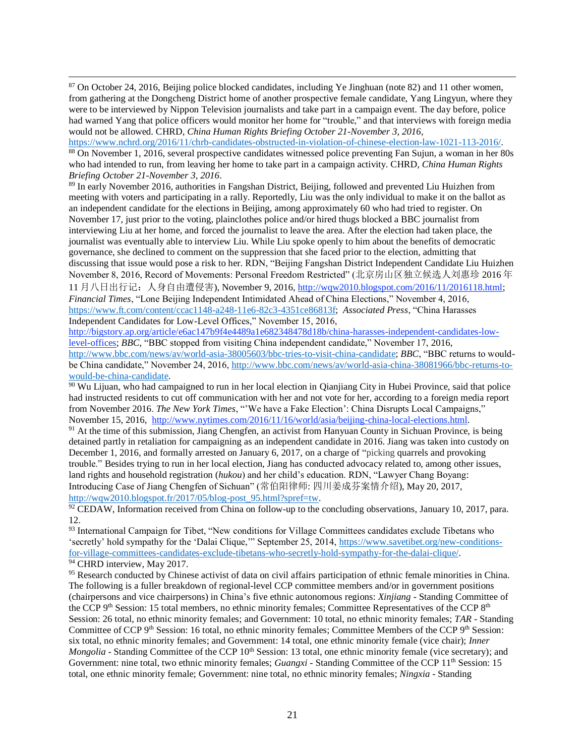<sup>87</sup> On October 24, 2016, Beijing police blocked candidates, including Ye Jinghuan (note 82) and 11 other women, from gathering at the Dongcheng District home of another prospective female candidate, Yang Lingyun, where they were to be interviewed by Nippon Television journalists and take part in a campaign event. The day before, police had warned Yang that police officers would monitor her home for "trouble," and that interviews with foreign media would not be allowed. CHRD, *China Human Rights Briefing October 21-November 3, 2016*,

 $\overline{a}$ 

[https://www.nchrd.org/2016/11/chrb-candidates-obstructed-in-violation-of-chinese-election-law-1021-113-2016/.](https://www.nchrd.org/2016/11/chrb-candidates-obstructed-in-violation-of-chinese-election-law-1021-113-2016/)  <sup>88</sup> On November 1, 2016, several prospective candidates witnessed police preventing Fan Sujun, a woman in her 80s who had intended to run, from leaving her home to take part in a campaign activity. CHRD, *China Human Rights Briefing October 21-November 3, 2016*.

<sup>89</sup> In early November 2016, authorities in Fangshan District, Beijing, followed and prevented Liu Huizhen from meeting with voters and participating in a rally. Reportedly, Liu was the only individual to make it on the ballot as an independent candidate for the elections in Beijing, among approximately 60 who had tried to register. On November 17, just prior to the voting, plainclothes police and/or hired thugs blocked a BBC journalist from interviewing Liu at her home, and forced the journalist to leave the area. After the election had taken place, the journalist was eventually able to interview Liu. While Liu spoke openly to him about the benefits of democratic governance, she declined to comment on the suppression that she faced prior to the election, admitting that discussing that issue would pose a risk to her. RDN, "Beijing Fangshan District Independent Candidate Liu Huizhen November 8, 2016, Record of Movements: Personal Freedom Restricted" (北京房山区独立候选人刘惠珍 2016 年 11 月八日出行记:人身自由遭侵害), November 9, 2016, [http://wqw2010.blogspot.com/2016/11/2016118.html;](http://wqw2010.blogspot.com/2016/11/2016118.html) *Financial Times*, "Lone Beijing Independent Intimidated Ahead of China Elections," November 4, 2016, [https://www.ft.com/content/ccac1148-a248-11e6-82c3-4351ce86813f;](https://www.ft.com/content/ccac1148-a248-11e6-82c3-4351ce86813f) *Associated Press*, "China Harasses Independent Candidates for Low-Level Offices," November 15, 2016,

[http://bigstory.ap.org/article/e6ac147b9f4e4489a1e682348478d18b/china-harasses-independent-candidates-low](http://bigstory.ap.org/article/e6ac147b9f4e4489a1e682348478d18b/china-harasses-independent-candidates-low-level-offices)[level-offices;](http://bigstory.ap.org/article/e6ac147b9f4e4489a1e682348478d18b/china-harasses-independent-candidates-low-level-offices) *BBC*, "BBC stopped from visiting China independent candidate," November 17, 2016, [http://www.bbc.com/news/av/world-asia-38005603/bbc-tries-to-visit-china-candidate;](http://www.bbc.com/news/av/world-asia-38005603/bbc-tries-to-visit-china-candidate) *BBC*, "BBC returns to wouldbe China candidate," November 24, 2016, [http://www.bbc.com/news/av/world-asia-china-38081966/bbc-returns-to](http://www.bbc.com/news/av/world-asia-china-38081966/bbc-returns-to-would-be-china-candidate)[would-be-china-candidate.](http://www.bbc.com/news/av/world-asia-china-38081966/bbc-returns-to-would-be-china-candidate)

<sup>90</sup> Wu Lijuan, who had campaigned to run in her local election in Qianjiang City in Hubei Province, said that police had instructed residents to cut off communication with her and not vote for her, according to a foreign media report from November 2016. *The New York Times*, "'We have a Fake Election': China Disrupts Local Campaigns," November 15, 2016, [http://www.nytimes.com/2016/11/16/world/asia/beijing-china-local-elections.html.](http://www.nytimes.com/2016/11/16/world/asia/beijing-china-local-elections.html)

<sup>91</sup> At the time of this submission, Jiang Chengfen, an activist from Hanyuan County in Sichuan Province, is being detained partly in retaliation for campaigning as an independent candidate in 2016. Jiang was taken into custody on December 1, 2016, and formally arrested on January 6, 2017, on a charge of "picking quarrels and provoking trouble." Besides trying to run in her local election, Jiang has conducted advocacy related to, among other issues, land rights and household registration (*hukou*) and her child's education. RDN, "Lawyer Chang Boyang: Introducing Case of Jiang Chengfen of Sichuan" (常伯阳律师: 四川姜成芬案情介绍), May 20, 2017, [http://wqw2010.blogspot.fr/2017/05/blog-post\\_95.html?spref=tw.](http://wqw2010.blogspot.fr/2017/05/blog-post_95.html?spref=tw)

92 CEDAW, Information received from China on follow-up to the concluding observations, January 10, 2017, para. 12.

<sup>93</sup> International Campaign for Tibet, "New conditions for Village Committees candidates exclude Tibetans who 'secretly' hold sympathy for the 'Dalai Clique,'" September 25, 2014, [https://www.savetibet.org/new-conditions](https://www.savetibet.org/new-conditions-for-village-committees-candidates-exclude-tibetans-who-secretly-hold-sympathy-for-the-dalai-clique/)[for-village-committees-candidates-exclude-tibetans-who-secretly-hold-sympathy-for-the-dalai-clique/.](https://www.savetibet.org/new-conditions-for-village-committees-candidates-exclude-tibetans-who-secretly-hold-sympathy-for-the-dalai-clique/) <sup>94</sup> CHRD interview, May 2017.

<sup>95</sup> Research conducted by Chinese activist of data on civil affairs participation of ethnic female minorities in China. The following is a fuller breakdown of regional-level CCP committee members and/or in government positions (chairpersons and vice chairpersons) in China's five ethnic autonomous regions: *Xinjiang* - Standing Committee of the CCP 9<sup>th</sup> Session: 15 total members, no ethnic minority females; Committee Representatives of the CCP 8<sup>th</sup> Session: 26 total, no ethnic minority females; and Government: 10 total, no ethnic minority females; *TAR* - Standing Committee of CCP 9<sup>th</sup> Session: 16 total, no ethnic minority females; Committee Members of the CCP 9<sup>th</sup> Session: six total, no ethnic minority females; and Government: 14 total, one ethnic minority female (vice chair); *Inner Mongolia* - Standing Committee of the CCP 10<sup>th</sup> Session: 13 total, one ethnic minority female (vice secretary); and Government: nine total, two ethnic minority females; *Guangxi* - Standing Committee of the CCP 11<sup>th</sup> Session: 15 total, one ethnic minority female; Government: nine total, no ethnic minority females; *Ningxia* - Standing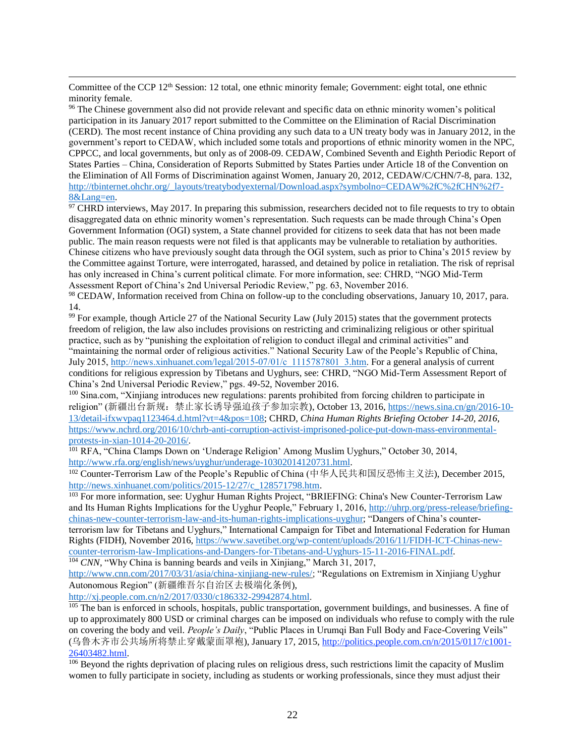Committee of the CCP 12<sup>th</sup> Session: 12 total, one ethnic minority female; Government: eight total, one ethnic minority female.

 $\overline{a}$ 

<sup>96</sup> The Chinese government also did not provide relevant and specific data on ethnic minority women's political participation in its January 2017 report submitted to the Committee on the Elimination of Racial Discrimination (CERD). The most recent instance of China providing any such data to a UN treaty body was in January 2012, in the government's report to CEDAW, which included some totals and proportions of ethnic minority women in the NPC, CPPCC, and local governments, but only as of 2008-09. CEDAW, Combined Seventh and Eighth Periodic Report of States Parties – China, Consideration of Reports Submitted by States Parties under Article 18 of the Convention on the Elimination of All Forms of Discrimination against Women, January 20, 2012, CEDAW/C/CHN/7-8, para. 132, [http://tbinternet.ohchr.org/\\_layouts/treatybodyexternal/Download.aspx?symbolno=CEDAW%2fC%2fCHN%2f7-](http://tbinternet.ohchr.org/_layouts/treatybodyexternal/Download.aspx?symbolno=CEDAW%2fC%2fCHN%2f7-8&Lang=en) [8&Lang=en.](http://tbinternet.ohchr.org/_layouts/treatybodyexternal/Download.aspx?symbolno=CEDAW%2fC%2fCHN%2f7-8&Lang=en)

 $97$  CHRD interviews, May 2017. In preparing this submission, researchers decided not to file requests to try to obtain disaggregated data on ethnic minority women's representation. Such requests can be made through China's Open Government Information (OGI) system, a State channel provided for citizens to seek data that has not been made public. The main reason requests were not filed is that applicants may be vulnerable to retaliation by authorities. Chinese citizens who have previously sought data through the OGI system, such as prior to China's 2015 review by the Committee against Torture, were interrogated, harassed, and detained by police in retaliation. The risk of reprisal has only increased in China's current political climate. For more information, see: CHRD, "NGO Mid-Term Assessment Report of China's 2nd Universal Periodic Review," pg. 63, November 2016.

98 CEDAW, Information received from China on follow-up to the concluding observations, January 10, 2017, para. 14.

<sup>99</sup> For example, though Article 27 of the National Security Law (July 2015) states that the government protects freedom of religion, the law also includes provisions on restricting and criminalizing religious or other spiritual practice, such as by "punishing the exploitation of religion to conduct illegal and criminal activities" and "maintaining the normal order of religious activities." National Security Law of the People's Republic of China, July 2015, [http://news.xinhuanet.com/legal/2015-07/01/c\\_1115787801\\_3.htm.](http://news.xinhuanet.com/legal/2015-07/01/c_1115787801_3.htm) For a general analysis of current conditions for religious expression by Tibetans and Uyghurs, see: CHRD, "NGO Mid-Term Assessment Report of China's 2nd Universal Periodic Review," pgs. 49-52, November 2016.

<sup>100</sup> Sina.com, "Xinjiang introduces new regulations: parents prohibited from forcing children to participate in religion" (新疆出台新规:禁止家长诱导强迫孩子参加宗教), October 13, 2016, [https://news.sina.cn/gn/2016-10-](https://news.sina.cn/gn/2016-10-13/detail-ifxwvpaq1123464.d.html?vt=4&pos=108) [13/detail-ifxwvpaq1123464.d.html?vt=4&pos=108;](https://news.sina.cn/gn/2016-10-13/detail-ifxwvpaq1123464.d.html?vt=4&pos=108) CHRD, *China Human Rights Briefing October 14-20, 2016*, [https://www.nchrd.org/2016/10/chrb-anti-corruption-activist-imprisoned-police-put-down-mass-environmental](https://www.nchrd.org/2016/10/chrb-anti-corruption-activist-imprisoned-police-put-down-mass-environmental-protests-in-xian-1014-20-2016/)[protests-in-xian-1014-20-2016/.](https://www.nchrd.org/2016/10/chrb-anti-corruption-activist-imprisoned-police-put-down-mass-environmental-protests-in-xian-1014-20-2016/) 

<sup>101</sup> RFA, "China Clamps Down on 'Underage Religion' Among Muslim Uyghurs," October 30, 2014, [http://www.rfa.org/english/news/uyghur/underage-10302014120731.html.](http://www.rfa.org/english/news/uyghur/underage-10302014120731.html)

<sup>102</sup> Counter-Terrorism Law of the People's Republic of China (中华人民共和国反恐怖主义法), December 2015, [http://news.xinhuanet.com/politics/2015-12/27/c\\_128571798.htm.](http://news.xinhuanet.com/politics/2015-12/27/c_128571798.htm)

<sup>103</sup> For more information, see: Uyghur Human Rights Project, "BRIEFING: China's New Counter-Terrorism Law and Its Human Rights Implications for the Uyghur People," February 1, 2016, [http://uhrp.org/press-release/briefing](http://uhrp.org/press-release/briefing-chinas-new-counter-terrorism-law-and-its-human-rights-implications-uyghur)[chinas-new-counter-terrorism-law-and-its-human-rights-implications-uyghur;](http://uhrp.org/press-release/briefing-chinas-new-counter-terrorism-law-and-its-human-rights-implications-uyghur) "Dangers of China's counterterrorism law for Tibetans and Uyghurs," International Campaign for Tibet and International Federation for Human Rights (FIDH), November 2016, [https://www.savetibet.org/wp-content/uploads/2016/11/FIDH-ICT-Chinas-new](https://www.savetibet.org/wp-content/uploads/2016/11/FIDH-ICT-Chinas-new-counter-terrorism-law-Implications-and-Dangers-for-Tibetans-and-Uyghurs-15-11-2016-FINAL.pdf)[counter-terrorism-law-Implications-and-Dangers-for-Tibetans-and-Uyghurs-15-11-2016-FINAL.pdf.](https://www.savetibet.org/wp-content/uploads/2016/11/FIDH-ICT-Chinas-new-counter-terrorism-law-Implications-and-Dangers-for-Tibetans-and-Uyghurs-15-11-2016-FINAL.pdf)

<sup>104</sup> *CNN*, "Why China is banning beards and veils in Xinjiang," March 31, 2017,

[http://www.cnn.com/2017/03/31/asia/china-xinjiang-new-rules/;](http://www.cnn.com/2017/03/31/asia/china-xinjiang-new-rules/) "Regulations on Extremism in Xinjiang Uyghur Autonomous Region" (新疆维吾尔自治区去极端化条例),

[http://xj.people.com.cn/n2/2017/0330/c186332-29942874.html.](http://xj.people.com.cn/n2/2017/0330/c186332-29942874.html)

<sup>105</sup> The ban is enforced in schools, hospitals, public transportation, government buildings, and businesses. A fine of up to approximately 800 USD or criminal charges can be imposed on individuals who refuse to comply with the rule on covering the body and veil. *People's Daily*, "Public Places in Urumqi Ban Full Body and Face-Covering Veils" (乌鲁木齐市公共场所将禁止穿戴蒙面罩袍), January 17, 2015, [http://politics.people.com.cn/n/2015/0117/c1001-](http://politics.people.com.cn/n/2015/0117/c1001-26403482.html) [26403482.html.](http://politics.people.com.cn/n/2015/0117/c1001-26403482.html)

<sup>106</sup> Beyond the rights deprivation of placing rules on religious dress, such restrictions limit the capacity of Muslim women to fully participate in society, including as students or working professionals, since they must adjust their